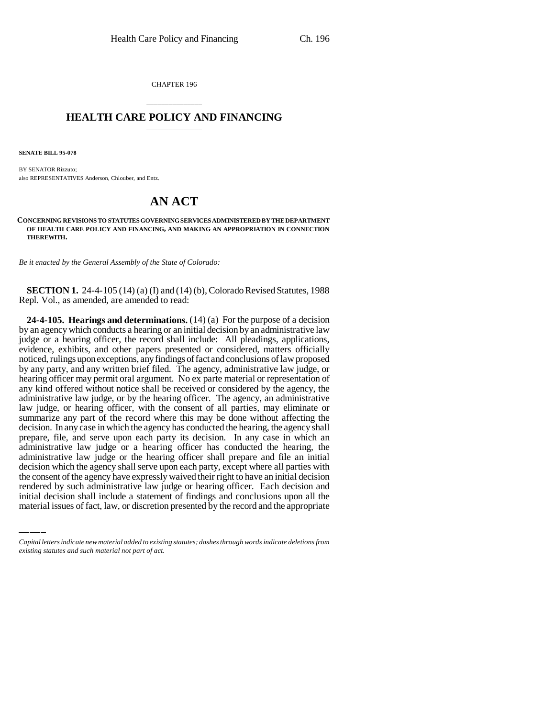CHAPTER 196

## \_\_\_\_\_\_\_\_\_\_\_\_\_\_\_ **HEALTH CARE POLICY AND FINANCING** \_\_\_\_\_\_\_\_\_\_\_\_\_\_\_

**SENATE BILL 95-078**

BY SENATOR Rizzuto; also REPRESENTATIVES Anderson, Chlouber, and Entz.

# **AN ACT**

**CONCERNING REVISIONS TO STATUTES GOVERNING SERVICES ADMINISTERED BY THE DEPARTMENT OF HEALTH CARE POLICY AND FINANCING, AND MAKING AN APPROPRIATION IN CONNECTION THEREWITH.**

*Be it enacted by the General Assembly of the State of Colorado:*

**SECTION 1.** 24-4-105 (14) (a) (I) and (14) (b), Colorado Revised Statutes, 1988 Repl. Vol., as amended, are amended to read:

decision which the agency shall serve upon each party, except where all parties with **24-4-105. Hearings and determinations.** (14) (a) For the purpose of a decision by an agency which conducts a hearing or an initial decision by an administrative law judge or a hearing officer, the record shall include: All pleadings, applications, evidence, exhibits, and other papers presented or considered, matters officially noticed, rulings upon exceptions, any findings of fact and conclusions of law proposed by any party, and any written brief filed. The agency, administrative law judge, or hearing officer may permit oral argument. No ex parte material or representation of any kind offered without notice shall be received or considered by the agency, the administrative law judge, or by the hearing officer. The agency, an administrative law judge, or hearing officer, with the consent of all parties, may eliminate or summarize any part of the record where this may be done without affecting the decision. In any case in which the agency has conducted the hearing, the agency shall prepare, file, and serve upon each party its decision. In any case in which an administrative law judge or a hearing officer has conducted the hearing, the administrative law judge or the hearing officer shall prepare and file an initial the consent of the agency have expressly waived their right to have an initial decision rendered by such administrative law judge or hearing officer. Each decision and initial decision shall include a statement of findings and conclusions upon all the material issues of fact, law, or discretion presented by the record and the appropriate

*Capital letters indicate new material added to existing statutes; dashes through words indicate deletions from existing statutes and such material not part of act.*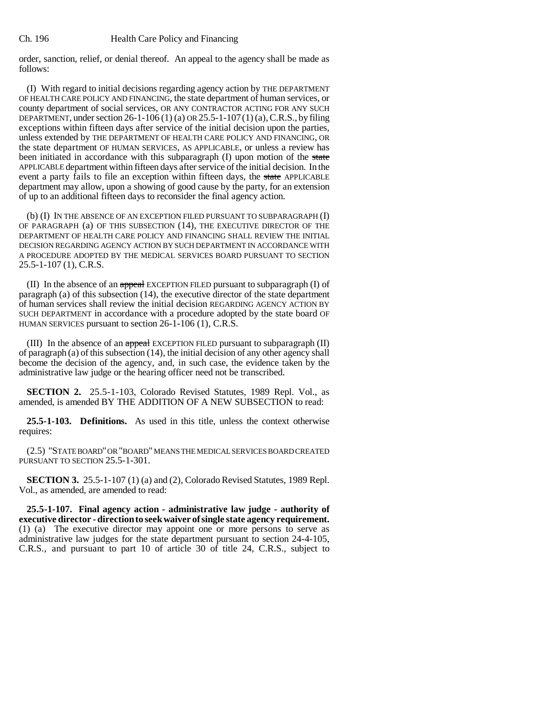order, sanction, relief, or denial thereof. An appeal to the agency shall be made as follows:

(I) With regard to initial decisions regarding agency action by THE DEPARTMENT OF HEALTH CARE POLICY AND FINANCING, the state department of human services, or county department of social services, OR ANY CONTRACTOR ACTING FOR ANY SUCH DEPARTMENT, under section 26-1-106 (1) (a) OR 25.5-1-107(1) (a), C.R.S., by filing exceptions within fifteen days after service of the initial decision upon the parties, unless extended by THE DEPARTMENT OF HEALTH CARE POLICY AND FINANCING, OR the state department OF HUMAN SERVICES, AS APPLICABLE, or unless a review has been initiated in accordance with this subparagraph (I) upon motion of the state APPLICABLE department within fifteen days after service of the initial decision. In the event a party fails to file an exception within fifteen days, the state APPLICABLE department may allow, upon a showing of good cause by the party, for an extension of up to an additional fifteen days to reconsider the final agency action.

(b) (I) IN THE ABSENCE OF AN EXCEPTION FILED PURSUANT TO SUBPARAGRAPH (I) OF PARAGRAPH (a) OF THIS SUBSECTION (14), THE EXECUTIVE DIRECTOR OF THE DEPARTMENT OF HEALTH CARE POLICY AND FINANCING SHALL REVIEW THE INITIAL DECISION REGARDING AGENCY ACTION BY SUCH DEPARTMENT IN ACCORDANCE WITH A PROCEDURE ADOPTED BY THE MEDICAL SERVICES BOARD PURSUANT TO SECTION 25.5-1-107 (1), C.R.S.

(II) In the absence of an appeal EXCEPTION FILED pursuant to subparagraph  $(I)$  of paragraph (a) of this subsection (14), the executive director of the state department of human services shall review the initial decision REGARDING AGENCY ACTION BY SUCH DEPARTMENT in accordance with a procedure adopted by the state board OF HUMAN SERVICES pursuant to section 26-1-106 (1), C.R.S.

(III) In the absence of an appeal EXCEPTION FILED pursuant to subparagraph (II) of paragraph (a) of this subsection (14), the initial decision of any other agency shall become the decision of the agency, and, in such case, the evidence taken by the administrative law judge or the hearing officer need not be transcribed.

**SECTION 2.** 25.5-1-103, Colorado Revised Statutes, 1989 Repl. Vol., as amended, is amended BY THE ADDITION OF A NEW SUBSECTION to read:

**25.5-1-103. Definitions.** As used in this title, unless the context otherwise requires:

(2.5) "STATE BOARD" OR "BOARD" MEANS THE MEDICAL SERVICES BOARD CREATED PURSUANT TO SECTION 25.5-1-301.

**SECTION 3.** 25.5-1-107 (1) (a) and (2), Colorado Revised Statutes, 1989 Repl. Vol., as amended, are amended to read:

**25.5-1-107. Final agency action - administrative law judge - authority of executive director - direction to seek waiver of single state agency requirement.** (1) (a) The executive director may appoint one or more persons to serve as administrative law judges for the state department pursuant to section 24-4-105, C.R.S., and pursuant to part 10 of article 30 of title 24, C.R.S., subject to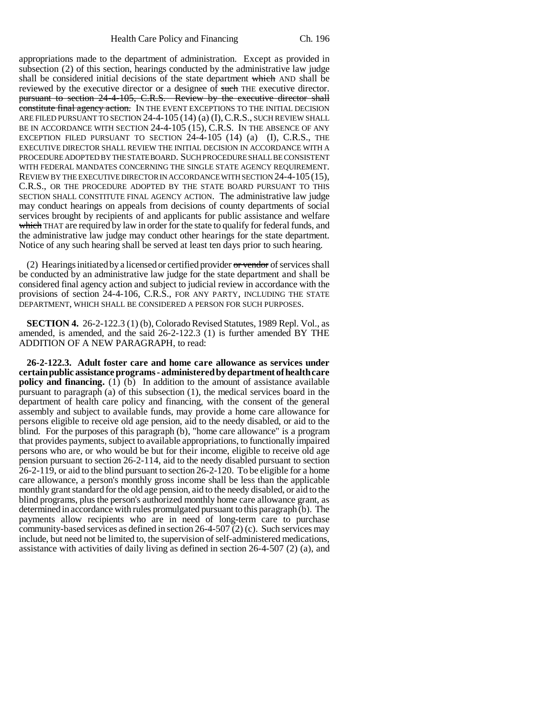appropriations made to the department of administration. Except as provided in subsection (2) of this section, hearings conducted by the administrative law judge shall be considered initial decisions of the state department which AND shall be reviewed by the executive director or a designee of such THE executive director. pursuant to section 24-4-105, C.R.S. Review by the executive director shall constitute final agency action. IN THE EVENT EXCEPTIONS TO THE INITIAL DECISION ARE FILED PURSUANT TO SECTION 24-4-105 (14) (a) (I),C.R.S., SUCH REVIEW SHALL BE IN ACCORDANCE WITH SECTION 24-4-105 (15), C.R.S. IN THE ABSENCE OF ANY EXCEPTION FILED PURSUANT TO SECTION 24-4-105 (14) (a) (I), C.R.S., THE EXECUTIVE DIRECTOR SHALL REVIEW THE INITIAL DECISION IN ACCORDANCE WITH A PROCEDURE ADOPTED BY THE STATE BOARD. SUCH PROCEDURE SHALL BE CONSISTENT WITH FEDERAL MANDATES CONCERNING THE SINGLE STATE AGENCY REQUIREMENT. REVIEW BY THE EXECUTIVE DIRECTOR IN ACCORDANCE WITH SECTION 24-4-105 (15), C.R.S., OR THE PROCEDURE ADOPTED BY THE STATE BOARD PURSUANT TO THIS SECTION SHALL CONSTITUTE FINAL AGENCY ACTION. The administrative law judge may conduct hearings on appeals from decisions of county departments of social services brought by recipients of and applicants for public assistance and welfare which THAT are required by law in order for the state to qualify for federal funds, and the administrative law judge may conduct other hearings for the state department. Notice of any such hearing shall be served at least ten days prior to such hearing.

(2) Hearings initiated by a licensed or certified provider  $or$  vendor of services shall be conducted by an administrative law judge for the state department and shall be considered final agency action and subject to judicial review in accordance with the provisions of section 24-4-106, C.R.S., FOR ANY PARTY, INCLUDING THE STATE DEPARTMENT, WHICH SHALL BE CONSIDERED A PERSON FOR SUCH PURPOSES.

**SECTION 4.** 26-2-122.3 (1) (b), Colorado Revised Statutes, 1989 Repl. Vol., as amended, is amended, and the said 26-2-122.3 (1) is further amended BY THE ADDITION OF A NEW PARAGRAPH, to read:

**26-2-122.3. Adult foster care and home care allowance as services under certain public assistance programs - administered by department of health care policy and financing.** (1) (b) In addition to the amount of assistance available pursuant to paragraph (a) of this subsection (1), the medical services board in the department of health care policy and financing, with the consent of the general assembly and subject to available funds, may provide a home care allowance for persons eligible to receive old age pension, aid to the needy disabled, or aid to the blind. For the purposes of this paragraph (b), "home care allowance" is a program that provides payments, subject to available appropriations, to functionally impaired persons who are, or who would be but for their income, eligible to receive old age pension pursuant to section 26-2-114, aid to the needy disabled pursuant to section 26-2-119, or aid to the blind pursuant to section 26-2-120. To be eligible for a home care allowance, a person's monthly gross income shall be less than the applicable monthly grant standard for the old age pension, aid to the needy disabled, or aid to the blind programs, plus the person's authorized monthly home care allowance grant, as determined in accordance with rules promulgated pursuant to this paragraph (b). The payments allow recipients who are in need of long-term care to purchase community-based services as defined in section  $26-4-507(2)$  (c). Such services may include, but need not be limited to, the supervision of self-administered medications, assistance with activities of daily living as defined in section 26-4-507 (2) (a), and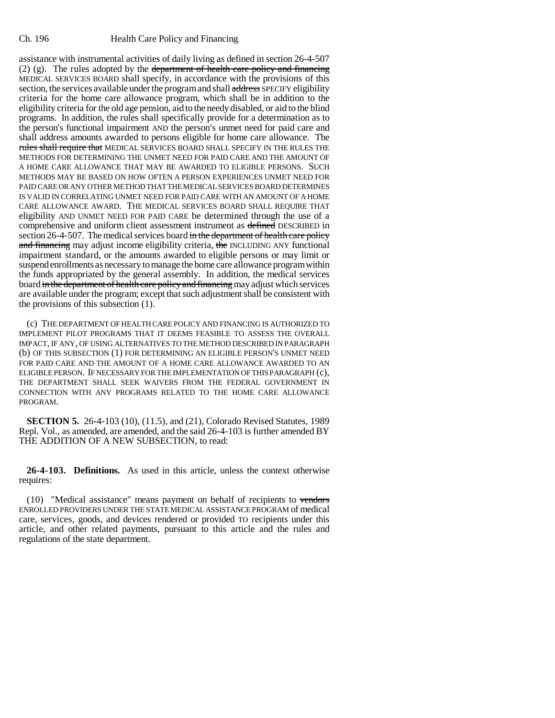assistance with instrumental activities of daily living as defined in section 26-4-507 (2) (g). The rules adopted by the <del>department of health care policy and financing</del> MEDICAL SERVICES BOARD shall specify, in accordance with the provisions of this section, the services available under the program and shall address SPECIFY eligibility criteria for the home care allowance program, which shall be in addition to the eligibility criteria for the old age pension, aid to the needy disabled, or aid to the blind programs. In addition, the rules shall specifically provide for a determination as to the person's functional impairment AND the person's unmet need for paid care and shall address amounts awarded to persons eligible for home care allowance. The rules shall require that MEDICAL SERVICES BOARD SHALL SPECIFY IN THE RULES THE METHODS FOR DETERMINING THE UNMET NEED FOR PAID CARE AND THE AMOUNT OF A HOME CARE ALLOWANCE THAT MAY BE AWARDED TO ELIGIBLE PERSONS. SUCH METHODS MAY BE BASED ON HOW OFTEN A PERSON EXPERIENCES UNMET NEED FOR PAID CARE OR ANY OTHER METHOD THAT THE MEDICAL SERVICES BOARD DETERMINES IS VALID IN CORRELATING UNMET NEED FOR PAID CARE WITH AN AMOUNT OF A HOME CARE ALLOWANCE AWARD. THE MEDICAL SERVICES BOARD SHALL REQUIRE THAT eligibility AND UNMET NEED FOR PAID CARE be determined through the use of a comprehensive and uniform client assessment instrument as defined DESCRIBED in section 26-4-507. The medical services board in the department of health care policy and financing may adjust income eligibility criteria, the INCLUDING ANY functional impairment standard, or the amounts awarded to eligible persons or may limit or suspend enrollments as necessary to manage the home care allowance program within the funds appropriated by the general assembly. In addition, the medical services board in the department of health care policy and financing may adjust which services are available under the program; except that such adjustment shall be consistent with the provisions of this subsection (1).

(c) THE DEPARTMENT OF HEALTH CARE POLICY AND FINANCING IS AUTHORIZED TO IMPLEMENT PILOT PROGRAMS THAT IT DEEMS FEASIBLE TO ASSESS THE OVERALL IMPACT, IF ANY, OF USING ALTERNATIVES TO THE METHOD DESCRIBED IN PARAGRAPH (b) OF THIS SUBSECTION (1) FOR DETERMINING AN ELIGIBLE PERSON'S UNMET NEED FOR PAID CARE AND THE AMOUNT OF A HOME CARE ALLOWANCE AWARDED TO AN ELIGIBLE PERSON. IF NECESSARY FOR THE IMPLEMENTATION OF THIS PARAGRAPH (c), THE DEPARTMENT SHALL SEEK WAIVERS FROM THE FEDERAL GOVERNMENT IN CONNECTION WITH ANY PROGRAMS RELATED TO THE HOME CARE ALLOWANCE PROGRAM.

**SECTION 5.** 26-4-103 (10), (11.5), and (21), Colorado Revised Statutes, 1989 Repl. Vol., as amended, are amended, and the said 26-4-103 is further amended BY THE ADDITION OF A NEW SUBSECTION, to read:

**26-4-103. Definitions.** As used in this article, unless the context otherwise requires:

 $(10)$  "Medical assistance" means payment on behalf of recipients to vendors ENROLLED PROVIDERS UNDER THE STATE MEDICAL ASSISTANCE PROGRAM of medical care, services, goods, and devices rendered or provided TO recipients under this article, and other related payments, pursuant to this article and the rules and regulations of the state department.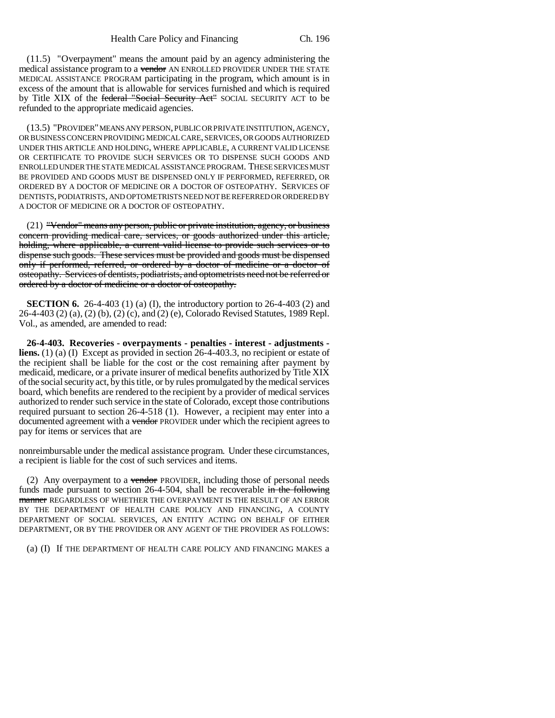(11.5) "Overpayment" means the amount paid by an agency administering the medical assistance program to a vendor AN ENROLLED PROVIDER UNDER THE STATE MEDICAL ASSISTANCE PROGRAM participating in the program, which amount is in excess of the amount that is allowable for services furnished and which is required by Title XIX of the federal "Social Security Act" SOCIAL SECURITY ACT to be refunded to the appropriate medicaid agencies.

(13.5) "PROVIDER" MEANS ANY PERSON, PUBLIC OR PRIVATE INSTITUTION, AGENCY, OR BUSINESS CONCERN PROVIDING MEDICAL CARE, SERVICES, OR GOODS AUTHORIZED UNDER THIS ARTICLE AND HOLDING, WHERE APPLICABLE, A CURRENT VALID LICENSE OR CERTIFICATE TO PROVIDE SUCH SERVICES OR TO DISPENSE SUCH GOODS AND ENROLLED UNDER THE STATE MEDICAL ASSISTANCE PROGRAM. THESE SERVICES MUST BE PROVIDED AND GOODS MUST BE DISPENSED ONLY IF PERFORMED, REFERRED, OR ORDERED BY A DOCTOR OF MEDICINE OR A DOCTOR OF OSTEOPATHY. SERVICES OF DENTISTS, PODIATRISTS, AND OPTOMETRISTS NEED NOT BE REFERRED OR ORDERED BY A DOCTOR OF MEDICINE OR A DOCTOR OF OSTEOPATHY.

(21) "Vendor" means any person, public or private institution, agency, or business concern providing medical care, services, or goods authorized under this article, holding, where applicable, a current valid license to provide such services or to dispense such goods. These services must be provided and goods must be dispensed only if performed, referred, or ordered by a doctor of medicine or a doctor of osteopathy. Services of dentists, podiatrists, and optometrists need not be referred or ordered by a doctor of medicine or a doctor of osteopathy.

**SECTION 6.** 26-4-403 (1) (a) (I), the introductory portion to 26-4-403 (2) and 26-4-403 (2) (a), (2) (b), (2) (c), and (2) (e), Colorado Revised Statutes, 1989 Repl. Vol., as amended, are amended to read:

**26-4-403. Recoveries - overpayments - penalties - interest - adjustments liens.** (1) (a) (I) Except as provided in section 26-4-403.3, no recipient or estate of the recipient shall be liable for the cost or the cost remaining after payment by medicaid, medicare, or a private insurer of medical benefits authorized by Title XIX of the social security act, by this title, or by rules promulgated by the medical services board, which benefits are rendered to the recipient by a provider of medical services authorized to render such service in the state of Colorado, except those contributions required pursuant to section 26-4-518 (1). However, a recipient may enter into a documented agreement with a vendor PROVIDER under which the recipient agrees to pay for items or services that are

nonreimbursable under the medical assistance program. Under these circumstances, a recipient is liable for the cost of such services and items.

(2) Any overpayment to a vendor PROVIDER, including those of personal needs funds made pursuant to section  $26-4-504$ , shall be recoverable in the following manner REGARDLESS OF WHETHER THE OVERPAYMENT IS THE RESULT OF AN ERROR BY THE DEPARTMENT OF HEALTH CARE POLICY AND FINANCING, A COUNTY DEPARTMENT OF SOCIAL SERVICES, AN ENTITY ACTING ON BEHALF OF EITHER DEPARTMENT, OR BY THE PROVIDER OR ANY AGENT OF THE PROVIDER AS FOLLOWS:

(a) (I) If THE DEPARTMENT OF HEALTH CARE POLICY AND FINANCING MAKES a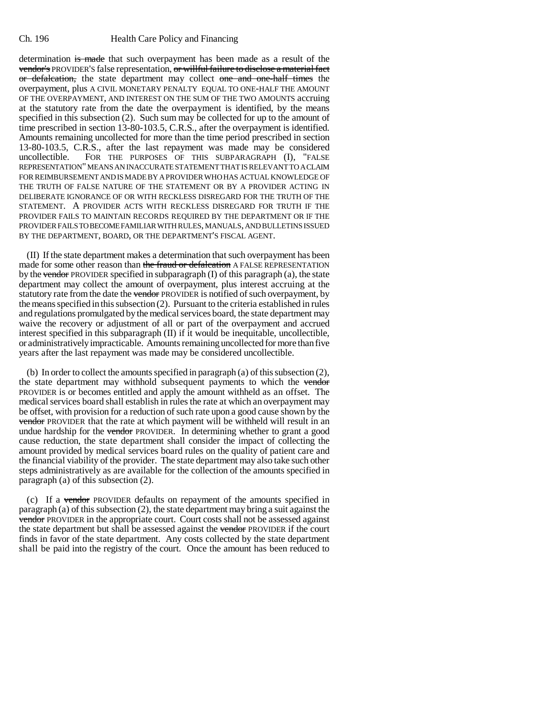determination is made that such overpayment has been made as a result of the vendor's PROVIDER'S false representation, or willful failure to disclose a material fact or defalcation, the state department may collect one and one-half times the overpayment, plus A CIVIL MONETARY PENALTY EQUAL TO ONE-HALF THE AMOUNT OF THE OVERPAYMENT, AND INTEREST ON THE SUM OF THE TWO AMOUNTS accruing at the statutory rate from the date the overpayment is identified, by the means specified in this subsection (2). Such sum may be collected for up to the amount of time prescribed in section 13-80-103.5, C.R.S., after the overpayment is identified. Amounts remaining uncollected for more than the time period prescribed in section 13-80-103.5, C.R.S., after the last repayment was made may be considered uncollectible. FOR THE PURPOSES OF THIS SUBPARAGRAPH (I), "FALSE REPRESENTATION" MEANS AN INACCURATE STATEMENT THAT IS RELEVANT TO A CLAIM FOR REIMBURSEMENT AND IS MADE BY A PROVIDER WHO HAS ACTUAL KNOWLEDGE OF THE TRUTH OF FALSE NATURE OF THE STATEMENT OR BY A PROVIDER ACTING IN DELIBERATE IGNORANCE OF OR WITH RECKLESS DISREGARD FOR THE TRUTH OF THE STATEMENT. A PROVIDER ACTS WITH RECKLESS DISREGARD FOR TRUTH IF THE PROVIDER FAILS TO MAINTAIN RECORDS REQUIRED BY THE DEPARTMENT OR IF THE PROVIDER FAILS TO BECOME FAMILIAR WITH RULES, MANUALS, AND BULLETINS ISSUED BY THE DEPARTMENT, BOARD, OR THE DEPARTMENT'S FISCAL AGENT.

(II) If the state department makes a determination that such overpayment has been made for some other reason than the fraud or defalcation A FALSE REPRESENTATION by the vendor PROVIDER specified in subparagraph  $(I)$  of this paragraph  $(a)$ , the state department may collect the amount of overpayment, plus interest accruing at the statutory rate from the date the vendor PROVIDER is notified of such overpayment, by the means specified in this subsection (2). Pursuant to the criteria established in rules and regulations promulgated by the medical services board, the state department may waive the recovery or adjustment of all or part of the overpayment and accrued interest specified in this subparagraph (II) if it would be inequitable, uncollectible, or administratively impracticable. Amounts remaining uncollected for more than five years after the last repayment was made may be considered uncollectible.

(b) In order to collect the amounts specified in paragraph (a) of this subsection (2), the state department may withhold subsequent payments to which the vendor PROVIDER is or becomes entitled and apply the amount withheld as an offset. The medical services board shall establish in rules the rate at which an overpayment may be offset, with provision for a reduction of such rate upon a good cause shown by the vendor PROVIDER that the rate at which payment will be withheld will result in an undue hardship for the vendor PROVIDER. In determining whether to grant a good cause reduction, the state department shall consider the impact of collecting the amount provided by medical services board rules on the quality of patient care and the financial viability of the provider. The state department may also take such other steps administratively as are available for the collection of the amounts specified in paragraph (a) of this subsection (2).

(c) If a vendor PROVIDER defaults on repayment of the amounts specified in paragraph (a) of this subsection (2), the state department may bring a suit against the vendor PROVIDER in the appropriate court. Court costs shall not be assessed against the state department but shall be assessed against the vendor PROVIDER if the court finds in favor of the state department. Any costs collected by the state department shall be paid into the registry of the court. Once the amount has been reduced to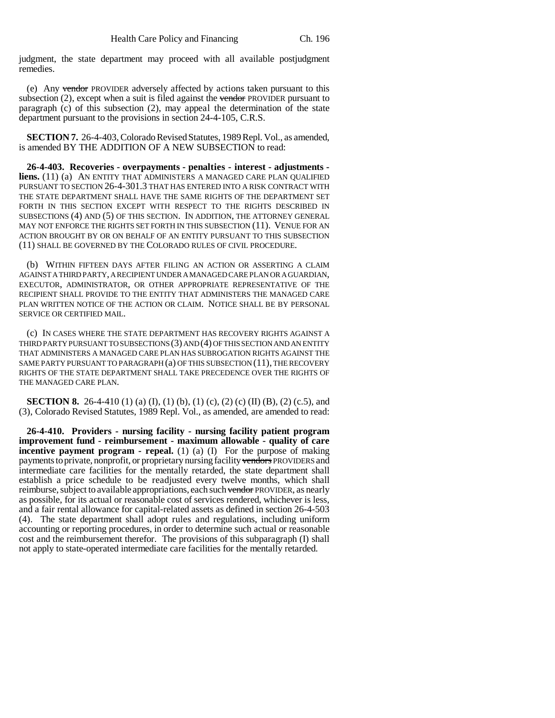judgment, the state department may proceed with all available postjudgment remedies.

(e) Any vendor PROVIDER adversely affected by actions taken pursuant to this subsection  $(2)$ , except when a suit is filed against the vendor PROVIDER pursuant to paragraph (c) of this subsection (2), may appeal the determination of the state department pursuant to the provisions in section 24-4-105, C.R.S.

**SECTION 7.** 26-4-403, Colorado Revised Statutes, 1989 Repl. Vol., as amended, is amended BY THE ADDITION OF A NEW SUBSECTION to read:

**26-4-403. Recoveries - overpayments - penalties - interest - adjustments liens.** (11) (a) AN ENTITY THAT ADMINISTERS A MANAGED CARE PLAN QUALIFIED PURSUANT TO SECTION 26-4-301.3 THAT HAS ENTERED INTO A RISK CONTRACT WITH THE STATE DEPARTMENT SHALL HAVE THE SAME RIGHTS OF THE DEPARTMENT SET FORTH IN THIS SECTION EXCEPT WITH RESPECT TO THE RIGHTS DESCRIBED IN SUBSECTIONS (4) AND (5) OF THIS SECTION. IN ADDITION, THE ATTORNEY GENERAL MAY NOT ENFORCE THE RIGHTS SET FORTH IN THIS SUBSECTION (11). VENUE FOR AN ACTION BROUGHT BY OR ON BEHALF OF AN ENTITY PURSUANT TO THIS SUBSECTION (11) SHALL BE GOVERNED BY THE COLORADO RULES OF CIVIL PROCEDURE.

(b) WITHIN FIFTEEN DAYS AFTER FILING AN ACTION OR ASSERTING A CLAIM AGAINST A THIRD PARTY, A RECIPIENT UNDER A MANAGED CARE PLAN OR A GUARDIAN, EXECUTOR, ADMINISTRATOR, OR OTHER APPROPRIATE REPRESENTATIVE OF THE RECIPIENT SHALL PROVIDE TO THE ENTITY THAT ADMINISTERS THE MANAGED CARE PLAN WRITTEN NOTICE OF THE ACTION OR CLAIM. NOTICE SHALL BE BY PERSONAL SERVICE OR CERTIFIED MAIL.

(c) IN CASES WHERE THE STATE DEPARTMENT HAS RECOVERY RIGHTS AGAINST A THIRD PARTY PURSUANT TO SUBSECTIONS (3) AND (4) OF THIS SECTION AND AN ENTITY THAT ADMINISTERS A MANAGED CARE PLAN HAS SUBROGATION RIGHTS AGAINST THE SAME PARTY PURSUANT TO PARAGRAPH (a) OF THIS SUBSECTION (11), THE RECOVERY RIGHTS OF THE STATE DEPARTMENT SHALL TAKE PRECEDENCE OVER THE RIGHTS OF THE MANAGED CARE PLAN.

**SECTION 8.** 26-4-410 (1) (a) (I), (1) (b), (1) (c), (2) (c) (II) (B), (2) (c.5), and (3), Colorado Revised Statutes, 1989 Repl. Vol., as amended, are amended to read:

**26-4-410. Providers - nursing facility - nursing facility patient program improvement fund - reimbursement - maximum allowable - quality of care incentive payment program - repeal.** (1) (a) (I) For the purpose of making payments to private, nonprofit, or proprietary nursing facility vendors PROVIDERS and intermediate care facilities for the mentally retarded, the state department shall establish a price schedule to be readjusted every twelve months, which shall reimburse, subject to available appropriations, each such vendor PROVIDER, as nearly as possible, for its actual or reasonable cost of services rendered, whichever is less, and a fair rental allowance for capital-related assets as defined in section 26-4-503 (4). The state department shall adopt rules and regulations, including uniform accounting or reporting procedures, in order to determine such actual or reasonable cost and the reimbursement therefor. The provisions of this subparagraph (I) shall not apply to state-operated intermediate care facilities for the mentally retarded.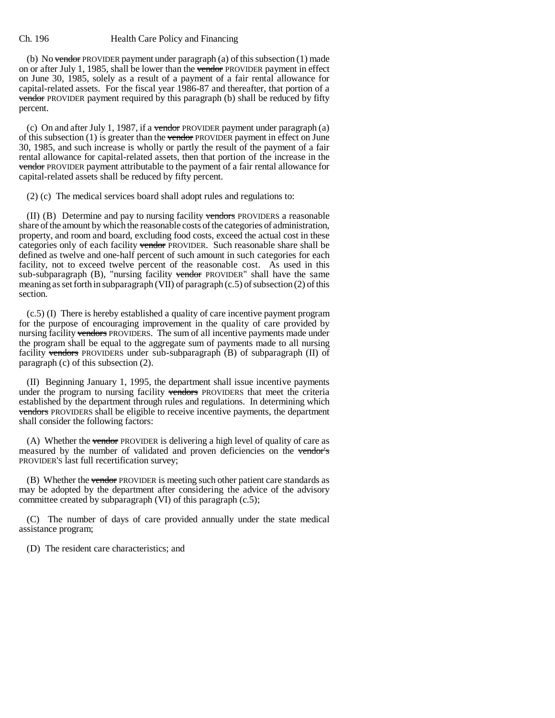(b) No <del>vendor</del> PROVIDER payment under paragraph (a) of this subsection  $(1)$  made on or after July 1, 1985, shall be lower than the vendor PROVIDER payment in effect on June 30, 1985, solely as a result of a payment of a fair rental allowance for capital-related assets. For the fiscal year 1986-87 and thereafter, that portion of a vendor PROVIDER payment required by this paragraph (b) shall be reduced by fifty percent.

(c) On and after July 1, 1987, if a vendor PROVIDER payment under paragraph  $(a)$ of this subsection  $(1)$  is greater than the vendor PROVIDER payment in effect on June 30, 1985, and such increase is wholly or partly the result of the payment of a fair rental allowance for capital-related assets, then that portion of the increase in the vendor PROVIDER payment attributable to the payment of a fair rental allowance for capital-related assets shall be reduced by fifty percent.

(2) (c) The medical services board shall adopt rules and regulations to:

(II) (B) Determine and pay to nursing facility vendors PROVIDERS a reasonable share of the amount by which the reasonable costs of the categories of administration, property, and room and board, excluding food costs, exceed the actual cost in these categories only of each facility vendor PROVIDER. Such reasonable share shall be defined as twelve and one-half percent of such amount in such categories for each facility, not to exceed twelve percent of the reasonable cost. As used in this sub-subparagraph  $(B)$ , "nursing facility vendor PROVIDER" shall have the same meaning as set forth in subparagraph (VII) of paragraph (c.5) of subsection (2) of this section.

(c.5) (I) There is hereby established a quality of care incentive payment program for the purpose of encouraging improvement in the quality of care provided by nursing facility vendors PROVIDERS. The sum of all incentive payments made under the program shall be equal to the aggregate sum of payments made to all nursing facility vendors PROVIDERS under sub-subparagraph (B) of subparagraph (II) of paragraph (c) of this subsection (2).

(II) Beginning January 1, 1995, the department shall issue incentive payments under the program to nursing facility vendors PROVIDERS that meet the criteria established by the department through rules and regulations. In determining which vendors PROVIDERS shall be eligible to receive incentive payments, the department shall consider the following factors:

(A) Whether the vendor PROVIDER is delivering a high level of quality of care as measured by the number of validated and proven deficiencies on the vendor's PROVIDER'S last full recertification survey;

(B) Whether the vendor PROVIDER is meeting such other patient care standards as may be adopted by the department after considering the advice of the advisory committee created by subparagraph (VI) of this paragraph (c.5);

(C) The number of days of care provided annually under the state medical assistance program;

(D) The resident care characteristics; and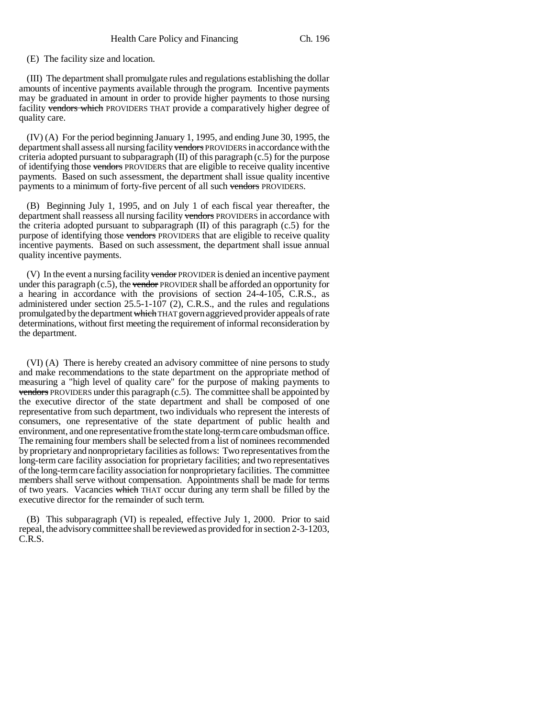(E) The facility size and location.

(III) The department shall promulgate rules and regulations establishing the dollar amounts of incentive payments available through the program. Incentive payments may be graduated in amount in order to provide higher payments to those nursing facility vendors which PROVIDERS THAT provide a comparatively higher degree of quality care.

(IV) (A) For the period beginning January 1, 1995, and ending June 30, 1995, the department shall assess all nursing facility vendors PROVIDERS in accordance with the criteria adopted pursuant to subparagraph  $(II)$  of this paragraph  $(c.5)$  for the purpose of identifying those vendors PROVIDERS that are eligible to receive quality incentive payments. Based on such assessment, the department shall issue quality incentive payments to a minimum of forty-five percent of all such vendors PROVIDERS.

(B) Beginning July 1, 1995, and on July 1 of each fiscal year thereafter, the department shall reassess all nursing facility vendors PROVIDERS in accordance with the criteria adopted pursuant to subparagraph (II) of this paragraph (c.5) for the purpose of identifying those vendors PROVIDERS that are eligible to receive quality incentive payments. Based on such assessment, the department shall issue annual quality incentive payments.

(V) In the event a nursing facility vendor PROVIDER is denied an incentive payment under this paragraph  $(c.5)$ , the vendor PROVIDER shall be afforded an opportunity for a hearing in accordance with the provisions of section 24-4-105, C.R.S., as administered under section 25.5-1-107 (2), C.R.S., and the rules and regulations promulgated by the department which THAT govern aggrieved provider appeals of rate determinations, without first meeting the requirement of informal reconsideration by the department.

(VI) (A) There is hereby created an advisory committee of nine persons to study and make recommendations to the state department on the appropriate method of measuring a "high level of quality care" for the purpose of making payments to vendors PROVIDERS under this paragraph  $(c.5)$ . The committee shall be appointed by the executive director of the state department and shall be composed of one representative from such department, two individuals who represent the interests of consumers, one representative of the state department of public health and environment, and one representative from the state long-term care ombudsman office. The remaining four members shall be selected from a list of nominees recommended by proprietary and nonproprietary facilities as follows: Two representatives from the long-term care facility association for proprietary facilities; and two representatives of the long-term care facility association for nonproprietary facilities. The committee members shall serve without compensation. Appointments shall be made for terms of two years. Vacancies which THAT occur during any term shall be filled by the executive director for the remainder of such term.

(B) This subparagraph (VI) is repealed, effective July 1, 2000. Prior to said repeal, the advisory committee shall be reviewed as provided for in section 2-3-1203, C.R.S.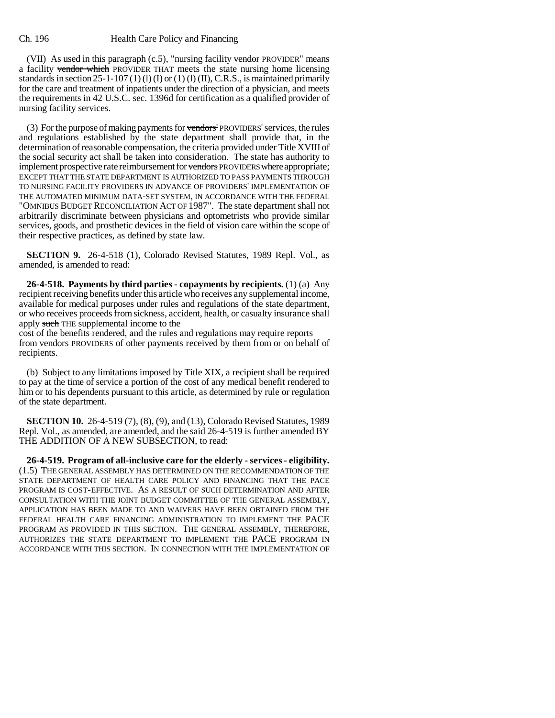(VII) As used in this paragraph  $(c.5)$ , "nursing facility vendor PROVIDER" means a facility vendor which PROVIDER THAT meets the state nursing home licensing standards in section  $25$ -1-107 (1) (1) (I) or (1) (1) (II), C.R.S., is maintained primarily for the care and treatment of inpatients under the direction of a physician, and meets the requirements in 42 U.S.C. sec. 1396d for certification as a qualified provider of nursing facility services.

(3) For the purpose of making payments for vendors' PROVIDERS' services, the rules and regulations established by the state department shall provide that, in the determination of reasonable compensation, the criteria provided under Title XVIII of the social security act shall be taken into consideration. The state has authority to implement prospective rate reimbursement for vendors PROVIDERS where appropriate; EXCEPT THAT THE STATE DEPARTMENT IS AUTHORIZED TO PASS PAYMENTS THROUGH TO NURSING FACILITY PROVIDERS IN ADVANCE OF PROVIDERS' IMPLEMENTATION OF THE AUTOMATED MINIMUM DATA-SET SYSTEM, IN ACCORDANCE WITH THE FEDERAL "OMNIBUS BUDGET RECONCILIATION ACT OF 1987". The state department shall not arbitrarily discriminate between physicians and optometrists who provide similar services, goods, and prosthetic devices in the field of vision care within the scope of their respective practices, as defined by state law.

**SECTION 9.** 26-4-518 (1), Colorado Revised Statutes, 1989 Repl. Vol., as amended, is amended to read:

**26-4-518. Payments by third parties - copayments by recipients.** (1) (a) Any recipient receiving benefits under this article who receives any supplemental income, available for medical purposes under rules and regulations of the state department, or who receives proceeds from sickness, accident, health, or casualty insurance shall apply such THE supplemental income to the

cost of the benefits rendered, and the rules and regulations may require reports from vendors PROVIDERS of other payments received by them from or on behalf of recipients.

(b) Subject to any limitations imposed by Title XIX, a recipient shall be required to pay at the time of service a portion of the cost of any medical benefit rendered to him or to his dependents pursuant to this article, as determined by rule or regulation of the state department.

**SECTION 10.** 26-4-519 (7), (8), (9), and (13), Colorado Revised Statutes, 1989 Repl. Vol., as amended, are amended, and the said 26-4-519 is further amended BY THE ADDITION OF A NEW SUBSECTION, to read:

**26-4-519. Program of all-inclusive care for the elderly - services - eligibility.** (1.5) THE GENERAL ASSEMBLY HAS DETERMINED ON THE RECOMMENDATION OF THE STATE DEPARTMENT OF HEALTH CARE POLICY AND FINANCING THAT THE PACE PROGRAM IS COST-EFFECTIVE. AS A RESULT OF SUCH DETERMINATION AND AFTER CONSULTATION WITH THE JOINT BUDGET COMMITTEE OF THE GENERAL ASSEMBLY, APPLICATION HAS BEEN MADE TO AND WAIVERS HAVE BEEN OBTAINED FROM THE FEDERAL HEALTH CARE FINANCING ADMINISTRATION TO IMPLEMENT THE PACE PROGRAM AS PROVIDED IN THIS SECTION. THE GENERAL ASSEMBLY, THEREFORE, AUTHORIZES THE STATE DEPARTMENT TO IMPLEMENT THE PACE PROGRAM IN ACCORDANCE WITH THIS SECTION. IN CONNECTION WITH THE IMPLEMENTATION OF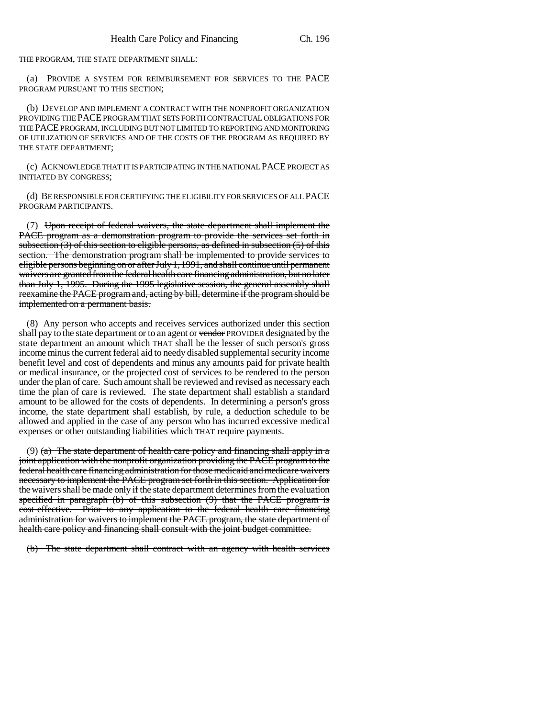THE PROGRAM, THE STATE DEPARTMENT SHALL:

(a) PROVIDE A SYSTEM FOR REIMBURSEMENT FOR SERVICES TO THE PACE PROGRAM PURSUANT TO THIS SECTION;

(b) DEVELOP AND IMPLEMENT A CONTRACT WITH THE NONPROFIT ORGANIZATION PROVIDING THE PACE PROGRAM THAT SETS FORTH CONTRACTUAL OBLIGATIONS FOR THE PACE PROGRAM, INCLUDING BUT NOT LIMITED TO REPORTING AND MONITORING OF UTILIZATION OF SERVICES AND OF THE COSTS OF THE PROGRAM AS REQUIRED BY THE STATE DEPARTMENT;

(c) ACKNOWLEDGE THAT IT IS PARTICIPATING IN THE NATIONAL PACE PROJECT AS INITIATED BY CONGRESS;

(d) BE RESPONSIBLE FOR CERTIFYING THE ELIGIBILITY FOR SERVICES OF ALL PACE PROGRAM PARTICIPANTS.

(7) Upon receipt of federal waivers, the state department shall implement the PACE program as a demonstration program to provide the services set forth in subsection  $(3)$  of this section to eligible persons, as defined in subsection  $(5)$  of this section. The demonstration program shall be implemented to provide services to eligible persons beginning on or after July 1, 1991, and shall continue until permanent waivers are granted from the federal health care financing administration, but no later than July 1, 1995. During the 1995 legislative session, the general assembly shall reexamine the PACE program and, acting by bill, determine if the program should be implemented on a permanent basis.

(8) Any person who accepts and receives services authorized under this section shall pay to the state department or to an agent or vendor PROVIDER designated by the state department an amount which THAT shall be the lesser of such person's gross income minus the current federal aid to needy disabled supplemental security income benefit level and cost of dependents and minus any amounts paid for private health or medical insurance, or the projected cost of services to be rendered to the person under the plan of care. Such amount shall be reviewed and revised as necessary each time the plan of care is reviewed. The state department shall establish a standard amount to be allowed for the costs of dependents. In determining a person's gross income, the state department shall establish, by rule, a deduction schedule to be allowed and applied in the case of any person who has incurred excessive medical expenses or other outstanding liabilities which THAT require payments.

(9) (a) The state department of health care policy and financing shall apply in a joint application with the nonprofit organization providing the PACE program to the federal health care financing administration for those medicaid and medicare waivers necessary to implement the PACE program set forth in this section. Application for the waivers shall be made only if the state department determines from the evaluation specified in paragraph (b) of this subsection (9) that the PACE program is cost-effective. Prior to any application to the federal health care financing administration for waivers to implement the PACE program, the state department of health care policy and financing shall consult with the joint budget committee.

(b) The state department shall contract with an agency with health services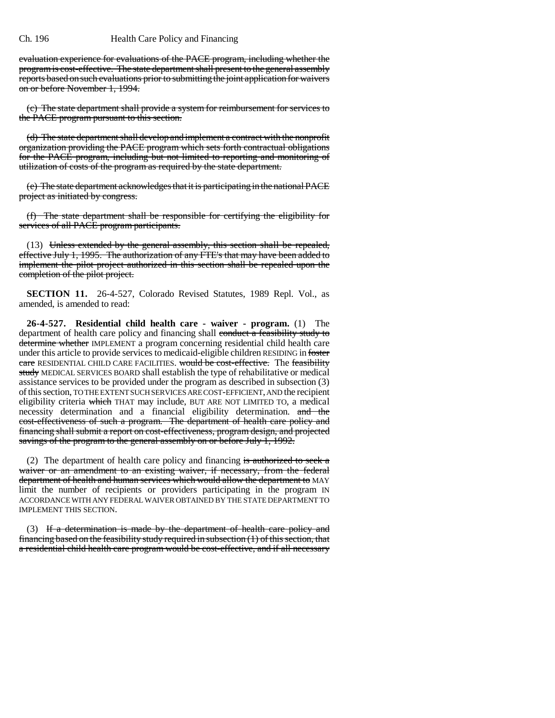evaluation experience for evaluations of the PACE program, including whether the program is cost-effective. The state department shall present to the general assembly reports based on such evaluations prior to submitting the joint application for waivers on or before November 1, 1994.

(c) The state department shall provide a system for reimbursement for services to the PACE program pursuant to this section.

(d) The state department shall develop and implement a contract with the nonprofit organization providing the PACE program which sets forth contractual obligations for the PACE program, including but not limited to reporting and monitoring of utilization of costs of the program as required by the state department.

(e) The state department acknowledges that it is participating in the national PACE project as initiated by congress.

(f) The state department shall be responsible for certifying the eligibility for services of all PACE program participants.

(13) Unless extended by the general assembly, this section shall be repealed, effective July 1, 1995. The authorization of any FTE's that may have been added to implement the pilot project authorized in this section shall be repealed upon the completion of the pilot project.

**SECTION 11.** 26-4-527, Colorado Revised Statutes, 1989 Repl. Vol., as amended, is amended to read:

**26-4-527. Residential child health care - waiver - program.** (1) The department of health care policy and financing shall conduct a feasibility study to determine whether IMPLEMENT a program concerning residential child health care under this article to provide services to medicaid-eligible children RESIDING in foster care RESIDENTIAL CHILD CARE FACILITIES. would be cost-effective. The feasibility study MEDICAL SERVICES BOARD shall establish the type of rehabilitative or medical assistance services to be provided under the program as described in subsection (3) of this section, TO THE EXTENT SUCH SERVICES ARE COST-EFFICIENT, AND the recipient eligibility criteria which THAT may include, BUT ARE NOT LIMITED TO, a medical necessity determination and a financial eligibility determination. and the cost-effectiveness of such a program. The department of health care policy and financing shall submit a report on cost-effectiveness, program design, and projected savings of the program to the general assembly on or before July 1, 1992.

(2) The department of health care policy and financing is authorized to seek a waiver or an amendment to an existing waiver, if necessary, from the federal department of health and human services which would allow the department to MAY limit the number of recipients or providers participating in the program IN ACCORDANCE WITH ANY FEDERAL WAIVER OBTAINED BY THE STATE DEPARTMENT TO IMPLEMENT THIS SECTION.

(3) If a determination is made by the department of health care policy and financing based on the feasibility study required in subsection (1) of this section, that a residential child health care program would be cost-effective, and if all necessary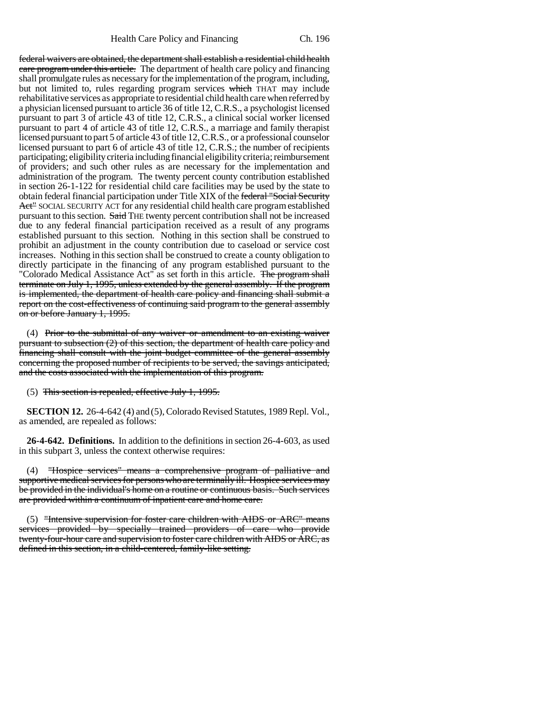federal waivers are obtained, the department shall establish a residential child health care program under this article. The department of health care policy and financing shall promulgate rules as necessary for the implementation of the program, including, but not limited to, rules regarding program services which THAT may include rehabilitative services as appropriate to residential child health care when referred by a physician licensed pursuant to article 36 of title 12, C.R.S., a psychologist licensed pursuant to part 3 of article 43 of title 12, C.R.S., a clinical social worker licensed pursuant to part 4 of article 43 of title 12, C.R.S., a marriage and family therapist licensed pursuant to part 5 of article 43 of title 12, C.R.S., or a professional counselor licensed pursuant to part 6 of article 43 of title 12, C.R.S.; the number of recipients participating; eligibility criteria including financial eligibility criteria; reimbursement of providers; and such other rules as are necessary for the implementation and administration of the program. The twenty percent county contribution established in section 26-1-122 for residential child care facilities may be used by the state to obtain federal financial participation under Title XIX of the federal "Social Security Act" SOCIAL SECURITY ACT for any residential child health care program established pursuant to this section. Said THE twenty percent contribution shall not be increased due to any federal financial participation received as a result of any programs established pursuant to this section. Nothing in this section shall be construed to prohibit an adjustment in the county contribution due to caseload or service cost increases. Nothing in this section shall be construed to create a county obligation to directly participate in the financing of any program established pursuant to the "Colorado Medical Assistance Act" as set forth in this article. The program shall terminate on July 1, 1995, unless extended by the general assembly. If the program is implemented, the department of health care policy and financing shall submit a report on the cost-effectiveness of continuing said program to the general assembly on or before January 1, 1995.

(4) Prior to the submittal of any waiver or amendment to an existing waiver pursuant to subsection (2) of this section, the department of health care policy and financing shall consult with the joint budget committee of the general assembly concerning the proposed number of recipients to be served, the savings anticipated, and the costs associated with the implementation of this program.

(5) This section is repealed, effective July 1, 1995.

**SECTION 12.** 26-4-642 (4) and (5), Colorado Revised Statutes, 1989 Repl. Vol., as amended, are repealed as follows:

**26-4-642. Definitions.** In addition to the definitions in section 26-4-603, as used in this subpart 3, unless the context otherwise requires:

(4) "Hospice services" means a comprehensive program of palliative and supportive medical services for persons who are terminally ill. Hospice services may be provided in the individual's home on a routine or continuous basis. Such services are provided within a continuum of inpatient care and home care.

(5) "Intensive supervision for foster care children with AIDS or ARC" means services provided by specially trained providers of care who provide twenty-four-hour care and supervision to foster care children with AIDS or ARC, as defined in this section, in a child-centered, family-like setting.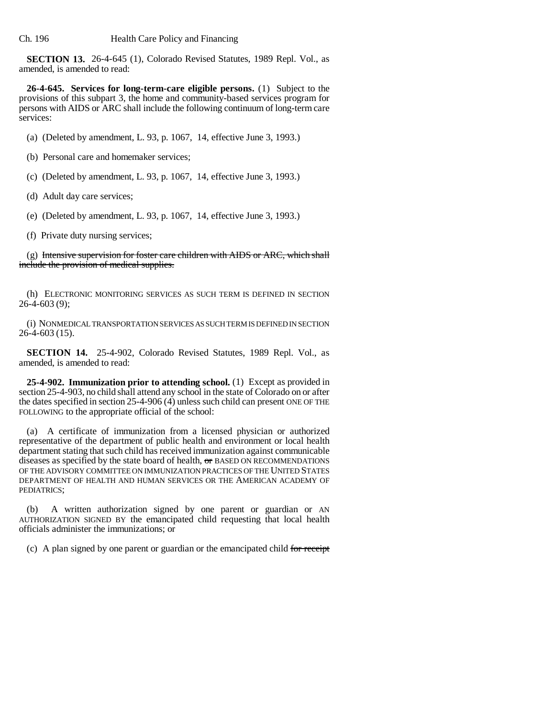**SECTION 13.** 26-4-645 (1), Colorado Revised Statutes, 1989 Repl. Vol., as amended, is amended to read:

**26-4-645. Services for long-term-care eligible persons.** (1) Subject to the provisions of this subpart 3, the home and community-based services program for persons with AIDS or ARC shall include the following continuum of long-term care services:

(a) (Deleted by amendment, L. 93, p. 1067, 14, effective June 3, 1993.)

- (b) Personal care and homemaker services;
- (c) (Deleted by amendment, L. 93, p. 1067, 14, effective June 3, 1993.)
- (d) Adult day care services;
- (e) (Deleted by amendment, L. 93, p. 1067, 14, effective June 3, 1993.)
- (f) Private duty nursing services;

 $(g)$  Intensive supervision for foster care children with AIDS or ARC, which shall include the provision of medical supplies.

(h) ELECTRONIC MONITORING SERVICES AS SUCH TERM IS DEFINED IN SECTION 26-4-603 (9);

(i) NONMEDICAL TRANSPORTATION SERVICES AS SUCH TERM IS DEFINED IN SECTION 26-4-603 (15).

**SECTION 14.** 25-4-902, Colorado Revised Statutes, 1989 Repl. Vol., as amended, is amended to read:

**25-4-902. Immunization prior to attending school.** (1) Except as provided in section 25-4-903, no child shall attend any school in the state of Colorado on or after the dates specified in section 25-4-906 (4) unless such child can present ONE OF THE FOLLOWING to the appropriate official of the school:

(a) A certificate of immunization from a licensed physician or authorized representative of the department of public health and environment or local health department stating that such child has received immunization against communicable diseases as specified by the state board of health, or BASED ON RECOMMENDATIONS OF THE ADVISORY COMMITTEE ON IMMUNIZATION PRACTICES OF THE UNITED STATES DEPARTMENT OF HEALTH AND HUMAN SERVICES OR THE AMERICAN ACADEMY OF PEDIATRICS;

(b) A written authorization signed by one parent or guardian or AN AUTHORIZATION SIGNED BY the emancipated child requesting that local health officials administer the immunizations; or

(c) A plan signed by one parent or guardian or the emancipated child for receipt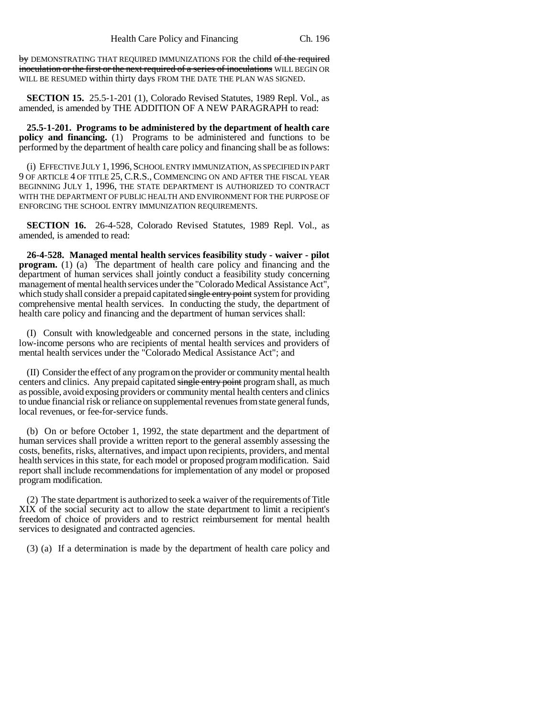by DEMONSTRATING THAT REQUIRED IMMUNIZATIONS FOR the child of the required inoculation or the first or the next required of a series of inoculations WILL BEGIN OR WILL BE RESUMED within thirty days FROM THE DATE THE PLAN WAS SIGNED.

**SECTION 15.** 25.5-1-201 (1), Colorado Revised Statutes, 1989 Repl. Vol., as amended, is amended by THE ADDITION OF A NEW PARAGRAPH to read:

**25.5-1-201. Programs to be administered by the department of health care policy and financing.** (1) Programs to be administered and functions to be performed by the department of health care policy and financing shall be as follows:

(i) EFFECTIVE JULY 1, 1996,SCHOOL ENTRY IMMUNIZATION, AS SPECIFIED IN PART 9 OF ARTICLE 4 OF TITLE 25, C.R.S., COMMENCING ON AND AFTER THE FISCAL YEAR BEGINNING JULY 1, 1996, THE STATE DEPARTMENT IS AUTHORIZED TO CONTRACT WITH THE DEPARTMENT OF PUBLIC HEALTH AND ENVIRONMENT FOR THE PURPOSE OF ENFORCING THE SCHOOL ENTRY IMMUNIZATION REQUIREMENTS.

**SECTION 16.** 26-4-528, Colorado Revised Statutes, 1989 Repl. Vol., as amended, is amended to read:

**26-4-528. Managed mental health services feasibility study - waiver - pilot program.** (1) (a) The department of health care policy and financing and the department of human services shall jointly conduct a feasibility study concerning management of mental health services under the "Colorado Medical Assistance Act", which study shall consider a prepaid capitated single entry point system for providing comprehensive mental health services. In conducting the study, the department of health care policy and financing and the department of human services shall:

(I) Consult with knowledgeable and concerned persons in the state, including low-income persons who are recipients of mental health services and providers of mental health services under the "Colorado Medical Assistance Act"; and

(II) Consider the effect of any program on the provider or community mental health centers and clinics. Any prepaid capitated single entry point program shall, as much as possible, avoid exposing providers or community mental health centers and clinics to undue financial risk or reliance on supplemental revenues from state general funds, local revenues, or fee-for-service funds.

(b) On or before October 1, 1992, the state department and the department of human services shall provide a written report to the general assembly assessing the costs, benefits, risks, alternatives, and impact upon recipients, providers, and mental health services in this state, for each model or proposed program modification. Said report shall include recommendations for implementation of any model or proposed program modification.

(2) The state department is authorized to seek a waiver of the requirements of Title XIX of the social security act to allow the state department to limit a recipient's freedom of choice of providers and to restrict reimbursement for mental health services to designated and contracted agencies.

(3) (a) If a determination is made by the department of health care policy and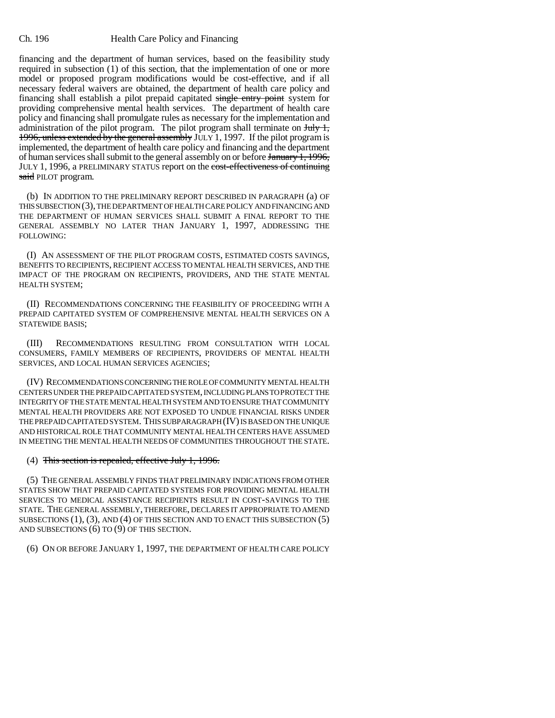financing and the department of human services, based on the feasibility study required in subsection (1) of this section, that the implementation of one or more model or proposed program modifications would be cost-effective, and if all necessary federal waivers are obtained, the department of health care policy and financing shall establish a pilot prepaid capitated single entry point system for providing comprehensive mental health services. The department of health care policy and financing shall promulgate rules as necessary for the implementation and administration of the pilot program. The pilot program shall terminate on  $J_{\text{t}}$ , 1996, unless extended by the general assembly JULY 1, 1997. If the pilot program is implemented, the department of health care policy and financing and the department of human services shall submit to the general assembly on or before January 1, 1996, JULY 1, 1996, a PRELIMINARY STATUS report on the cost-effectiveness of continuing said PILOT program.

(b) IN ADDITION TO THE PRELIMINARY REPORT DESCRIBED IN PARAGRAPH (a) OF THIS SUBSECTION (3), THE DEPARTMENT OF HEALTH CARE POLICY AND FINANCING AND THE DEPARTMENT OF HUMAN SERVICES SHALL SUBMIT A FINAL REPORT TO THE GENERAL ASSEMBLY NO LATER THAN JANUARY 1, 1997, ADDRESSING THE FOLLOWING:

(I) AN ASSESSMENT OF THE PILOT PROGRAM COSTS, ESTIMATED COSTS SAVINGS, BENEFITS TO RECIPIENTS, RECIPIENT ACCESS TO MENTAL HEALTH SERVICES, AND THE IMPACT OF THE PROGRAM ON RECIPIENTS, PROVIDERS, AND THE STATE MENTAL HEALTH SYSTEM;

(II) RECOMMENDATIONS CONCERNING THE FEASIBILITY OF PROCEEDING WITH A PREPAID CAPITATED SYSTEM OF COMPREHENSIVE MENTAL HEALTH SERVICES ON A STATEWIDE BASIS;

(III) RECOMMENDATIONS RESULTING FROM CONSULTATION WITH LOCAL CONSUMERS, FAMILY MEMBERS OF RECIPIENTS, PROVIDERS OF MENTAL HEALTH SERVICES, AND LOCAL HUMAN SERVICES AGENCIES;

(IV) RECOMMENDATIONS CONCERNING THE ROLE OF COMMUNITY MENTAL HEALTH CENTERS UNDER THE PREPAID CAPITATED SYSTEM, INCLUDING PLANS TO PROTECT THE INTEGRITY OF THE STATE MENTAL HEALTH SYSTEM AND TO ENSURE THAT COMMUNITY MENTAL HEALTH PROVIDERS ARE NOT EXPOSED TO UNDUE FINANCIAL RISKS UNDER THE PREPAID CAPITATED SYSTEM. THIS SUBPARAGRAPH (IV) IS BASED ON THE UNIQUE AND HISTORICAL ROLE THAT COMMUNITY MENTAL HEALTH CENTERS HAVE ASSUMED IN MEETING THE MENTAL HEALTH NEEDS OF COMMUNITIES THROUGHOUT THE STATE.

#### (4) This section is repealed, effective July 1, 1996.

(5) THE GENERAL ASSEMBLY FINDS THAT PRELIMINARY INDICATIONS FROM OTHER STATES SHOW THAT PREPAID CAPITATED SYSTEMS FOR PROVIDING MENTAL HEALTH SERVICES TO MEDICAL ASSISTANCE RECIPIENTS RESULT IN COST-SAVINGS TO THE STATE. THE GENERAL ASSEMBLY, THEREFORE, DECLARES IT APPROPRIATE TO AMEND SUBSECTIONS (1), (3), AND (4) OF THIS SECTION AND TO ENACT THIS SUBSECTION (5) AND SUBSECTIONS (6) TO (9) OF THIS SECTION.

(6) ON OR BEFORE JANUARY 1, 1997, THE DEPARTMENT OF HEALTH CARE POLICY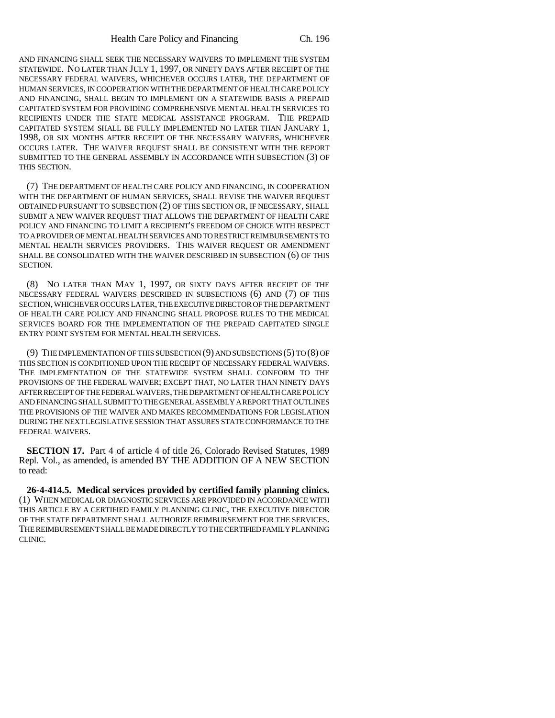AND FINANCING SHALL SEEK THE NECESSARY WAIVERS TO IMPLEMENT THE SYSTEM STATEWIDE. NO LATER THAN JULY 1, 1997, OR NINETY DAYS AFTER RECEIPT OF THE NECESSARY FEDERAL WAIVERS, WHICHEVER OCCURS LATER, THE DEPARTMENT OF HUMAN SERVICES, IN COOPERATION WITH THE DEPARTMENT OF HEALTH CARE POLICY AND FINANCING, SHALL BEGIN TO IMPLEMENT ON A STATEWIDE BASIS A PREPAID CAPITATED SYSTEM FOR PROVIDING COMPREHENSIVE MENTAL HEALTH SERVICES TO RECIPIENTS UNDER THE STATE MEDICAL ASSISTANCE PROGRAM. THE PREPAID CAPITATED SYSTEM SHALL BE FULLY IMPLEMENTED NO LATER THAN JANUARY 1, 1998, OR SIX MONTHS AFTER RECEIPT OF THE NECESSARY WAIVERS, WHICHEVER OCCURS LATER. THE WAIVER REQUEST SHALL BE CONSISTENT WITH THE REPORT SUBMITTED TO THE GENERAL ASSEMBLY IN ACCORDANCE WITH SUBSECTION (3) OF THIS SECTION.

(7) THE DEPARTMENT OF HEALTH CARE POLICY AND FINANCING, IN COOPERATION WITH THE DEPARTMENT OF HUMAN SERVICES, SHALL REVISE THE WAIVER REQUEST OBTAINED PURSUANT TO SUBSECTION (2) OF THIS SECTION OR, IF NECESSARY, SHALL SUBMIT A NEW WAIVER REQUEST THAT ALLOWS THE DEPARTMENT OF HEALTH CARE POLICY AND FINANCING TO LIMIT A RECIPIENT'S FREEDOM OF CHOICE WITH RESPECT TO A PROVIDER OF MENTAL HEALTH SERVICES AND TO RESTRICT REIMBURSEMENTS TO MENTAL HEALTH SERVICES PROVIDERS. THIS WAIVER REQUEST OR AMENDMENT SHALL BE CONSOLIDATED WITH THE WAIVER DESCRIBED IN SUBSECTION (6) OF THIS SECTION.

(8) NO LATER THAN MAY 1, 1997, OR SIXTY DAYS AFTER RECEIPT OF THE NECESSARY FEDERAL WAIVERS DESCRIBED IN SUBSECTIONS (6) AND (7) OF THIS SECTION, WHICHEVER OCCURS LATER, THE EXECUTIVE DIRECTOR OF THE DEPARTMENT OF HEALTH CARE POLICY AND FINANCING SHALL PROPOSE RULES TO THE MEDICAL SERVICES BOARD FOR THE IMPLEMENTATION OF THE PREPAID CAPITATED SINGLE ENTRY POINT SYSTEM FOR MENTAL HEALTH SERVICES.

(9) THE IMPLEMENTATION OF THIS SUBSECTION (9) AND SUBSECTIONS (5) TO (8) OF THIS SECTION IS CONDITIONED UPON THE RECEIPT OF NECESSARY FEDERAL WAIVERS. THE IMPLEMENTATION OF THE STATEWIDE SYSTEM SHALL CONFORM TO THE PROVISIONS OF THE FEDERAL WAIVER; EXCEPT THAT, NO LATER THAN NINETY DAYS AFTER RECEIPT OF THE FEDERAL WAIVERS, THE DEPARTMENT OF HEALTH CARE POLICY AND FINANCING SHALL SUBMIT TO THE GENERAL ASSEMBLY A REPORT THAT OUTLINES THE PROVISIONS OF THE WAIVER AND MAKES RECOMMENDATIONS FOR LEGISLATION DURING THE NEXT LEGISLATIVE SESSION THAT ASSURES STATE CONFORMANCE TO THE FEDERAL WAIVERS.

**SECTION 17.** Part 4 of article 4 of title 26, Colorado Revised Statutes, 1989 Repl. Vol., as amended, is amended BY THE ADDITION OF A NEW SECTION to read:

**26-4-414.5. Medical services provided by certified family planning clinics.** (1) WHEN MEDICAL OR DIAGNOSTIC SERVICES ARE PROVIDED IN ACCORDANCE WITH THIS ARTICLE BY A CERTIFIED FAMILY PLANNING CLINIC, THE EXECUTIVE DIRECTOR OF THE STATE DEPARTMENT SHALL AUTHORIZE REIMBURSEMENT FOR THE SERVICES. THE REIMBURSEMENT SHALL BE MADE DIRECTLY TO THE CERTIFIED FAMILY PLANNING CLINIC.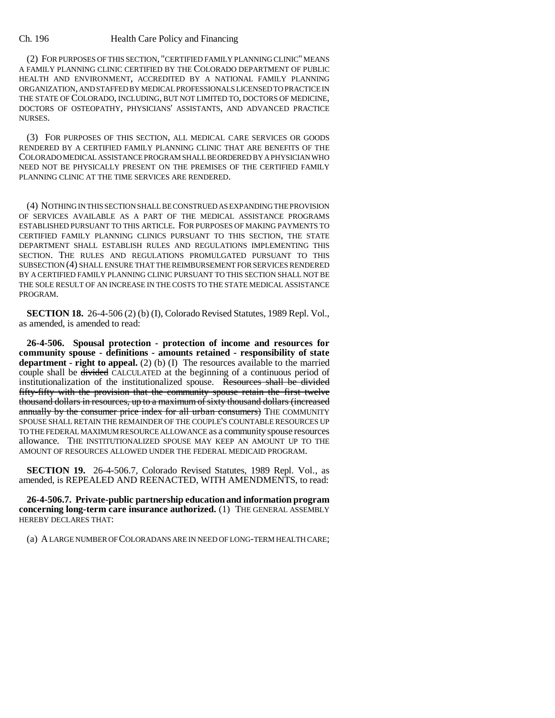(2) FOR PURPOSES OF THIS SECTION, "CERTIFIED FAMILY PLANNING CLINIC" MEANS A FAMILY PLANNING CLINIC CERTIFIED BY THE COLORADO DEPARTMENT OF PUBLIC HEALTH AND ENVIRONMENT, ACCREDITED BY A NATIONAL FAMILY PLANNING ORGANIZATION, AND STAFFED BY MEDICAL PROFESSIONALS LICENSED TO PRACTICE IN THE STATE OF COLORADO, INCLUDING, BUT NOT LIMITED TO, DOCTORS OF MEDICINE, DOCTORS OF OSTEOPATHY, PHYSICIANS' ASSISTANTS, AND ADVANCED PRACTICE NURSES.

(3) FOR PURPOSES OF THIS SECTION, ALL MEDICAL CARE SERVICES OR GOODS RENDERED BY A CERTIFIED FAMILY PLANNING CLINIC THAT ARE BENEFITS OF THE COLORADO MEDICAL ASSISTANCE PROGRAM SHALL BE ORDERED BY A PHYSICIAN WHO NEED NOT BE PHYSICALLY PRESENT ON THE PREMISES OF THE CERTIFIED FAMILY PLANNING CLINIC AT THE TIME SERVICES ARE RENDERED.

(4) NOTHING IN THIS SECTION SHALL BE CONSTRUED AS EXPANDING THE PROVISION OF SERVICES AVAILABLE AS A PART OF THE MEDICAL ASSISTANCE PROGRAMS ESTABLISHED PURSUANT TO THIS ARTICLE. FOR PURPOSES OF MAKING PAYMENTS TO CERTIFIED FAMILY PLANNING CLINICS PURSUANT TO THIS SECTION, THE STATE DEPARTMENT SHALL ESTABLISH RULES AND REGULATIONS IMPLEMENTING THIS SECTION. THE RULES AND REGULATIONS PROMULGATED PURSUANT TO THIS SUBSECTION (4) SHALL ENSURE THAT THE REIMBURSEMENT FOR SERVICES RENDERED BY A CERTIFIED FAMILY PLANNING CLINIC PURSUANT TO THIS SECTION SHALL NOT BE THE SOLE RESULT OF AN INCREASE IN THE COSTS TO THE STATE MEDICAL ASSISTANCE PROGRAM.

**SECTION 18.** 26-4-506 (2) (b) (I), Colorado Revised Statutes, 1989 Repl. Vol., as amended, is amended to read:

**26-4-506. Spousal protection - protection of income and resources for community spouse - definitions - amounts retained - responsibility of state department - right to appeal.** (2) (b) (I) The resources available to the married couple shall be divided CALCULATED at the beginning of a continuous period of institutionalization of the institutionalized spouse. Resources shall be divided fifty-fifty with the provision that the community spouse retain the first twelve thousand dollars in resources, up to a maximum of sixty thousand dollars (increased annually by the consumer price index for all urban consumers) THE COMMUNITY SPOUSE SHALL RETAIN THE REMAINDER OF THE COUPLE'S COUNTABLE RESOURCES UP TO THE FEDERAL MAXIMUM RESOURCE ALLOWANCE as a community spouse resources allowance. THE INSTITUTIONALIZED SPOUSE MAY KEEP AN AMOUNT UP TO THE AMOUNT OF RESOURCES ALLOWED UNDER THE FEDERAL MEDICAID PROGRAM.

**SECTION 19.** 26-4-506.7, Colorado Revised Statutes, 1989 Repl. Vol., as amended, is REPEALED AND REENACTED, WITH AMENDMENTS, to read:

**26-4-506.7. Private-public partnership education and information program concerning long-term care insurance authorized.** (1) THE GENERAL ASSEMBLY HEREBY DECLARES THAT:

(a) A LARGE NUMBER OF COLORADANS ARE IN NEED OF LONG-TERM HEALTH CARE;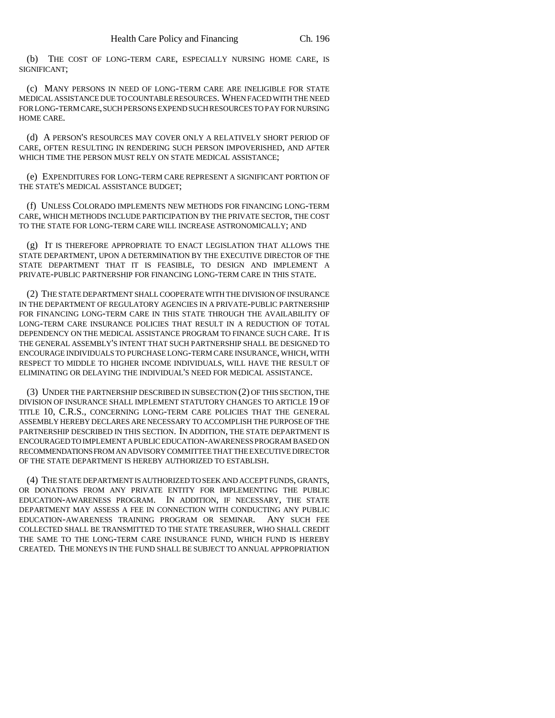(b) THE COST OF LONG-TERM CARE, ESPECIALLY NURSING HOME CARE, IS SIGNIFICANT;

(c) MANY PERSONS IN NEED OF LONG-TERM CARE ARE INELIGIBLE FOR STATE MEDICAL ASSISTANCE DUE TO COUNTABLE RESOURCES. WHEN FACED WITH THE NEED FOR LONG-TERM CARE, SUCH PERSONS EXPEND SUCH RESOURCES TO PAY FOR NURSING HOME CARE.

(d) A PERSON'S RESOURCES MAY COVER ONLY A RELATIVELY SHORT PERIOD OF CARE, OFTEN RESULTING IN RENDERING SUCH PERSON IMPOVERISHED, AND AFTER WHICH TIME THE PERSON MUST RELY ON STATE MEDICAL ASSISTANCE;

(e) EXPENDITURES FOR LONG-TERM CARE REPRESENT A SIGNIFICANT PORTION OF THE STATE'S MEDICAL ASSISTANCE BUDGET;

(f) UNLESS COLORADO IMPLEMENTS NEW METHODS FOR FINANCING LONG-TERM CARE, WHICH METHODS INCLUDE PARTICIPATION BY THE PRIVATE SECTOR, THE COST TO THE STATE FOR LONG-TERM CARE WILL INCREASE ASTRONOMICALLY; AND

(g) IT IS THEREFORE APPROPRIATE TO ENACT LEGISLATION THAT ALLOWS THE STATE DEPARTMENT, UPON A DETERMINATION BY THE EXECUTIVE DIRECTOR OF THE STATE DEPARTMENT THAT IT IS FEASIBLE, TO DESIGN AND IMPLEMENT A PRIVATE-PUBLIC PARTNERSHIP FOR FINANCING LONG-TERM CARE IN THIS STATE.

(2) THE STATE DEPARTMENT SHALL COOPERATE WITH THE DIVISION OF INSURANCE IN THE DEPARTMENT OF REGULATORY AGENCIES IN A PRIVATE-PUBLIC PARTNERSHIP FOR FINANCING LONG-TERM CARE IN THIS STATE THROUGH THE AVAILABILITY OF LONG-TERM CARE INSURANCE POLICIES THAT RESULT IN A REDUCTION OF TOTAL DEPENDENCY ON THE MEDICAL ASSISTANCE PROGRAM TO FINANCE SUCH CARE. IT IS THE GENERAL ASSEMBLY'S INTENT THAT SUCH PARTNERSHIP SHALL BE DESIGNED TO ENCOURAGE INDIVIDUALS TO PURCHASE LONG-TERM CARE INSURANCE, WHICH, WITH RESPECT TO MIDDLE TO HIGHER INCOME INDIVIDUALS, WILL HAVE THE RESULT OF ELIMINATING OR DELAYING THE INDIVIDUAL'S NEED FOR MEDICAL ASSISTANCE.

(3) UNDER THE PARTNERSHIP DESCRIBED IN SUBSECTION (2) OF THIS SECTION, THE DIVISION OF INSURANCE SHALL IMPLEMENT STATUTORY CHANGES TO ARTICLE 19 OF TITLE 10, C.R.S., CONCERNING LONG-TERM CARE POLICIES THAT THE GENERAL ASSEMBLY HEREBY DECLARES ARE NECESSARY TO ACCOMPLISH THE PURPOSE OF THE PARTNERSHIP DESCRIBED IN THIS SECTION. IN ADDITION, THE STATE DEPARTMENT IS ENCOURAGED TO IMPLEMENT A PUBLIC EDUCATION-AWARENESS PROGRAM BASED ON RECOMMENDATIONS FROM AN ADVISORY COMMITTEE THAT THE EXECUTIVE DIRECTOR OF THE STATE DEPARTMENT IS HEREBY AUTHORIZED TO ESTABLISH.

(4) THE STATE DEPARTMENT IS AUTHORIZED TO SEEK AND ACCEPT FUNDS, GRANTS, OR DONATIONS FROM ANY PRIVATE ENTITY FOR IMPLEMENTING THE PUBLIC EDUCATION-AWARENESS PROGRAM. IN ADDITION, IF NECESSARY, THE STATE DEPARTMENT MAY ASSESS A FEE IN CONNECTION WITH CONDUCTING ANY PUBLIC EDUCATION-AWARENESS TRAINING PROGRAM OR SEMINAR. ANY SUCH FEE COLLECTED SHALL BE TRANSMITTED TO THE STATE TREASURER, WHO SHALL CREDIT THE SAME TO THE LONG-TERM CARE INSURANCE FUND, WHICH FUND IS HEREBY CREATED. THE MONEYS IN THE FUND SHALL BE SUBJECT TO ANNUAL APPROPRIATION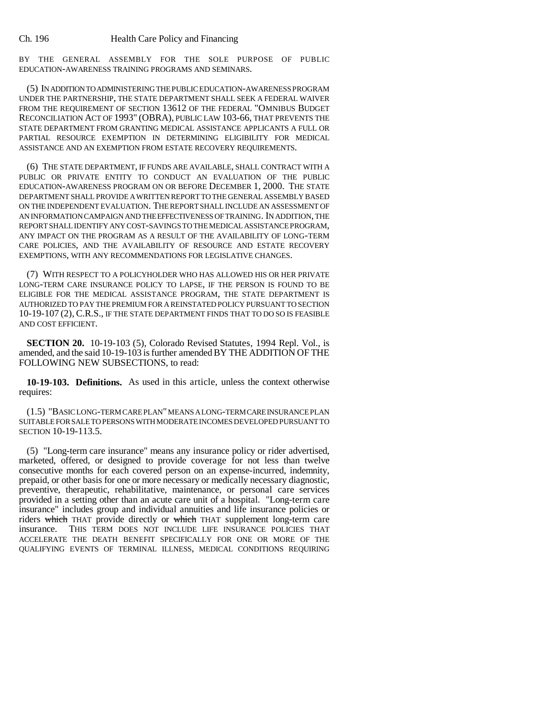BY THE GENERAL ASSEMBLY FOR THE SOLE PURPOSE OF PUBLIC EDUCATION-AWARENESS TRAINING PROGRAMS AND SEMINARS.

(5) IN ADDITION TO ADMINISTERING THE PUBLIC EDUCATION-AWARENESS PROGRAM UNDER THE PARTNERSHIP, THE STATE DEPARTMENT SHALL SEEK A FEDERAL WAIVER FROM THE REQUIREMENT OF SECTION 13612 OF THE FEDERAL "OMNIBUS BUDGET RECONCILIATION ACT OF 1993" (OBRA), PUBLIC LAW 103-66, THAT PREVENTS THE STATE DEPARTMENT FROM GRANTING MEDICAL ASSISTANCE APPLICANTS A FULL OR PARTIAL RESOURCE EXEMPTION IN DETERMINING ELIGIBILITY FOR MEDICAL ASSISTANCE AND AN EXEMPTION FROM ESTATE RECOVERY REQUIREMENTS.

(6) THE STATE DEPARTMENT, IF FUNDS ARE AVAILABLE, SHALL CONTRACT WITH A PUBLIC OR PRIVATE ENTITY TO CONDUCT AN EVALUATION OF THE PUBLIC EDUCATION-AWARENESS PROGRAM ON OR BEFORE DECEMBER 1, 2000. THE STATE DEPARTMENT SHALL PROVIDE A WRITTEN REPORT TO THE GENERAL ASSEMBLY BASED ON THE INDEPENDENT EVALUATION. THE REPORT SHALL INCLUDE AN ASSESSMENT OF AN INFORMATION CAMPAIGN AND THE EFFECTIVENESS OF TRAINING. IN ADDITION, THE REPORT SHALL IDENTIFY ANY COST-SAVINGS TO THE MEDICAL ASSISTANCE PROGRAM, ANY IMPACT ON THE PROGRAM AS A RESULT OF THE AVAILABILITY OF LONG-TERM CARE POLICIES, AND THE AVAILABILITY OF RESOURCE AND ESTATE RECOVERY EXEMPTIONS, WITH ANY RECOMMENDATIONS FOR LEGISLATIVE CHANGES.

(7) WITH RESPECT TO A POLICYHOLDER WHO HAS ALLOWED HIS OR HER PRIVATE LONG-TERM CARE INSURANCE POLICY TO LAPSE, IF THE PERSON IS FOUND TO BE ELIGIBLE FOR THE MEDICAL ASSISTANCE PROGRAM, THE STATE DEPARTMENT IS AUTHORIZED TO PAY THE PREMIUM FOR A REINSTATED POLICY PURSUANT TO SECTION 10-19-107 (2), C.R.S., IF THE STATE DEPARTMENT FINDS THAT TO DO SO IS FEASIBLE AND COST EFFICIENT.

**SECTION 20.** 10-19-103 (5), Colorado Revised Statutes, 1994 Repl. Vol., is amended, and the said 10-19-103 is further amended BY THE ADDITION OF THE FOLLOWING NEW SUBSECTIONS, to read:

**10-19-103. Definitions.** As used in this article, unless the context otherwise requires:

(1.5) "BASIC LONG-TERM CARE PLAN" MEANS A LONG-TERM CARE INSURANCE PLAN SUITABLE FOR SALE TO PERSONS WITH MODERATE INCOMES DEVELOPED PURSUANT TO SECTION 10-19-113.5.

(5) "Long-term care insurance" means any insurance policy or rider advertised, marketed, offered, or designed to provide coverage for not less than twelve consecutive months for each covered person on an expense-incurred, indemnity, prepaid, or other basis for one or more necessary or medically necessary diagnostic, preventive, therapeutic, rehabilitative, maintenance, or personal care services provided in a setting other than an acute care unit of a hospital. "Long-term care insurance" includes group and individual annuities and life insurance policies or riders which THAT provide directly or which THAT supplement long-term care insurance. THIS TERM DOES NOT INCLUDE LIFE INSURANCE POLICIES THAT ACCELERATE THE DEATH BENEFIT SPECIFICALLY FOR ONE OR MORE OF THE QUALIFYING EVENTS OF TERMINAL ILLNESS, MEDICAL CONDITIONS REQUIRING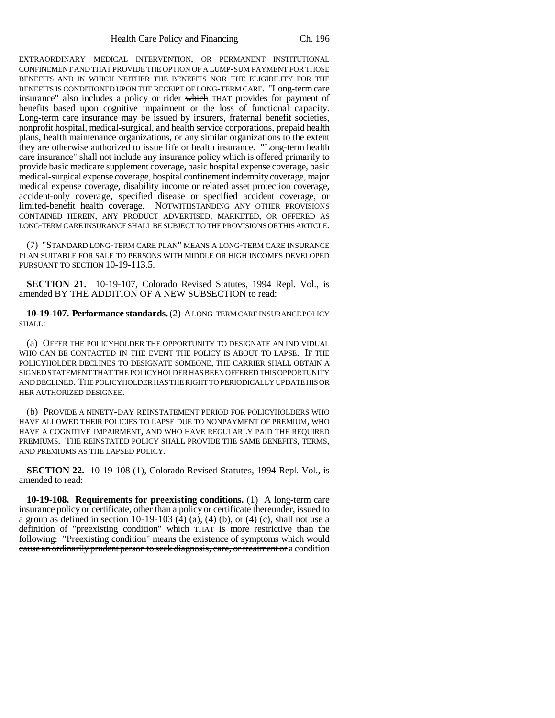EXTRAORDINARY MEDICAL INTERVENTION, OR PERMANENT INSTITUTIONAL CONFINEMENT AND THAT PROVIDE THE OPTION OF A LUMP-SUM PAYMENT FOR THOSE BENEFITS AND IN WHICH NEITHER THE BENEFITS NOR THE ELIGIBILITY FOR THE BENEFITS IS CONDITIONED UPON THE RECEIPT OF LONG-TERM CARE. "Long-term care insurance" also includes a policy or rider which THAT provides for payment of benefits based upon cognitive impairment or the loss of functional capacity. Long-term care insurance may be issued by insurers, fraternal benefit societies, nonprofit hospital, medical-surgical, and health service corporations, prepaid health plans, health maintenance organizations, or any similar organizations to the extent they are otherwise authorized to issue life or health insurance. "Long-term health care insurance" shall not include any insurance policy which is offered primarily to provide basic medicare supplement coverage, basic hospital expense coverage, basic medical-surgical expense coverage, hospital confinement indemnity coverage, major medical expense coverage, disability income or related asset protection coverage, accident-only coverage, specified disease or specified accident coverage, or limited-benefit health coverage. NOTWITHSTANDING ANY OTHER PROVISIONS CONTAINED HEREIN, ANY PRODUCT ADVERTISED, MARKETED, OR OFFERED AS LONG-TERM CARE INSURANCE SHALL BE SUBJECT TO THE PROVISIONS OF THIS ARTICLE.

(7) "STANDARD LONG-TERM CARE PLAN" MEANS A LONG-TERM CARE INSURANCE PLAN SUITABLE FOR SALE TO PERSONS WITH MIDDLE OR HIGH INCOMES DEVELOPED PURSUANT TO SECTION 10-19-113.5.

**SECTION 21.** 10-19-107, Colorado Revised Statutes, 1994 Repl. Vol., is amended BY THE ADDITION OF A NEW SUBSECTION to read:

**10-19-107. Performance standards.** (2) A LONG-TERM CARE INSURANCE POLICY SHALL:

(a) OFFER THE POLICYHOLDER THE OPPORTUNITY TO DESIGNATE AN INDIVIDUAL WHO CAN BE CONTACTED IN THE EVENT THE POLICY IS ABOUT TO LAPSE. IF THE POLICYHOLDER DECLINES TO DESIGNATE SOMEONE, THE CARRIER SHALL OBTAIN A SIGNED STATEMENT THAT THE POLICYHOLDER HAS BEEN OFFERED THIS OPPORTUNITY AND DECLINED. THE POLICYHOLDER HAS THE RIGHT TO PERIODICALLY UPDATE HIS OR HER AUTHORIZED DESIGNEE.

(b) PROVIDE A NINETY-DAY REINSTATEMENT PERIOD FOR POLICYHOLDERS WHO HAVE ALLOWED THEIR POLICIES TO LAPSE DUE TO NONPAYMENT OF PREMIUM, WHO HAVE A COGNITIVE IMPAIRMENT, AND WHO HAVE REGULARLY PAID THE REQUIRED PREMIUMS. THE REINSTATED POLICY SHALL PROVIDE THE SAME BENEFITS, TERMS, AND PREMIUMS AS THE LAPSED POLICY.

**SECTION 22.** 10-19-108 (1), Colorado Revised Statutes, 1994 Repl. Vol., is amended to read:

**10-19-108. Requirements for preexisting conditions.** (1) A long-term care insurance policy or certificate, other than a policy or certificate thereunder, issued to a group as defined in section 10-19-103  $(4)$   $(4)$   $(4)$   $(6)$ , or  $(4)$   $(c)$ , shall not use a definition of "preexisting condition" which THAT is more restrictive than the following: "Preexisting condition" means the existence of symptoms which would cause an ordinarily prudent person to seek diagnosis, care, or treatment or a condition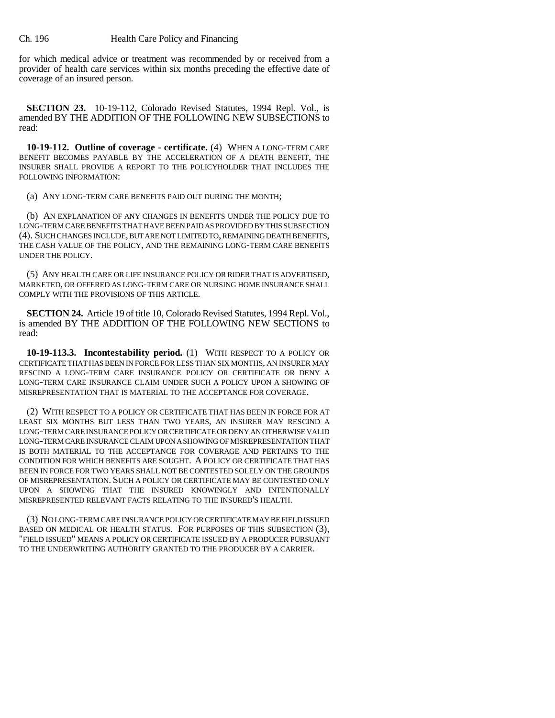for which medical advice or treatment was recommended by or received from a provider of health care services within six months preceding the effective date of coverage of an insured person.

**SECTION 23.** 10-19-112, Colorado Revised Statutes, 1994 Repl. Vol., is amended BY THE ADDITION OF THE FOLLOWING NEW SUBSECTIONS to read:

**10-19-112. Outline of coverage - certificate.** (4) WHEN A LONG-TERM CARE BENEFIT BECOMES PAYABLE BY THE ACCELERATION OF A DEATH BENEFIT, THE INSURER SHALL PROVIDE A REPORT TO THE POLICYHOLDER THAT INCLUDES THE FOLLOWING INFORMATION:

(a) ANY LONG-TERM CARE BENEFITS PAID OUT DURING THE MONTH;

(b) AN EXPLANATION OF ANY CHANGES IN BENEFITS UNDER THE POLICY DUE TO LONG-TERM CARE BENEFITS THAT HAVE BEEN PAID AS PROVIDED BY THIS SUBSECTION (4). SUCH CHANGES INCLUDE, BUT ARE NOT LIMITED TO, REMAINING DEATH BENEFITS, THE CASH VALUE OF THE POLICY, AND THE REMAINING LONG-TERM CARE BENEFITS UNDER THE POLICY.

(5) ANY HEALTH CARE OR LIFE INSURANCE POLICY OR RIDER THAT IS ADVERTISED, MARKETED, OR OFFERED AS LONG-TERM CARE OR NURSING HOME INSURANCE SHALL COMPLY WITH THE PROVISIONS OF THIS ARTICLE.

**SECTION 24.** Article 19 of title 10, Colorado Revised Statutes, 1994 Repl. Vol., is amended BY THE ADDITION OF THE FOLLOWING NEW SECTIONS to read:

**10-19-113.3. Incontestability period.** (1) WITH RESPECT TO A POLICY OR CERTIFICATE THAT HAS BEEN IN FORCE FOR LESS THAN SIX MONTHS, AN INSURER MAY RESCIND A LONG-TERM CARE INSURANCE POLICY OR CERTIFICATE OR DENY A LONG-TERM CARE INSURANCE CLAIM UNDER SUCH A POLICY UPON A SHOWING OF MISREPRESENTATION THAT IS MATERIAL TO THE ACCEPTANCE FOR COVERAGE.

(2) WITH RESPECT TO A POLICY OR CERTIFICATE THAT HAS BEEN IN FORCE FOR AT LEAST SIX MONTHS BUT LESS THAN TWO YEARS, AN INSURER MAY RESCIND A LONG-TERM CARE INSURANCE POLICY OR CERTIFICATE OR DENY AN OTHERWISE VALID LONG-TERM CARE INSURANCE CLAIM UPON A SHOWING OF MISREPRESENTATION THAT IS BOTH MATERIAL TO THE ACCEPTANCE FOR COVERAGE AND PERTAINS TO THE CONDITION FOR WHICH BENEFITS ARE SOUGHT. A POLICY OR CERTIFICATE THAT HAS BEEN IN FORCE FOR TWO YEARS SHALL NOT BE CONTESTED SOLELY ON THE GROUNDS OF MISREPRESENTATION. SUCH A POLICY OR CERTIFICATE MAY BE CONTESTED ONLY UPON A SHOWING THAT THE INSURED KNOWINGLY AND INTENTIONALLY MISREPRESENTED RELEVANT FACTS RELATING TO THE INSURED'S HEALTH.

(3) NO LONG-TERM CARE INSURANCE POLICY OR CERTIFICATE MAY BE FIELD ISSUED BASED ON MEDICAL OR HEALTH STATUS. FOR PURPOSES OF THIS SUBSECTION (3), "FIELD ISSUED" MEANS A POLICY OR CERTIFICATE ISSUED BY A PRODUCER PURSUANT TO THE UNDERWRITING AUTHORITY GRANTED TO THE PRODUCER BY A CARRIER.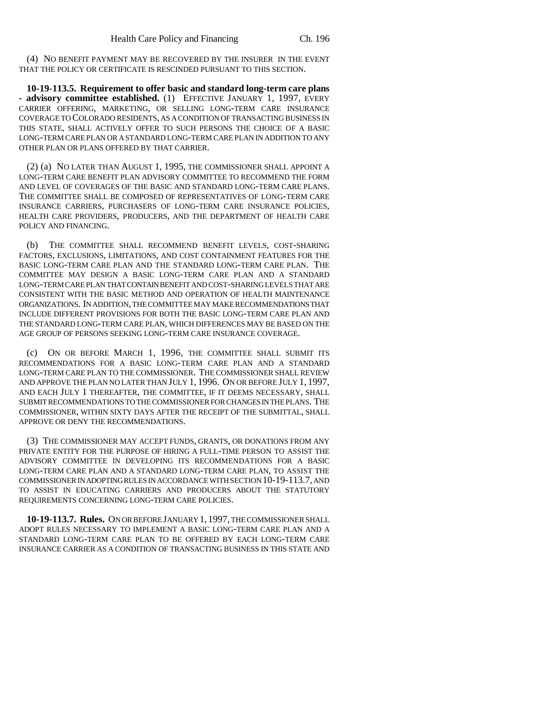(4) NO BENEFIT PAYMENT MAY BE RECOVERED BY THE INSURER IN THE EVENT THAT THE POLICY OR CERTIFICATE IS RESCINDED PURSUANT TO THIS SECTION.

**10-19-113.5. Requirement to offer basic and standard long-term care plans - advisory committee established.** (1) EFFECTIVE JANUARY 1, 1997, EVERY CARRIER OFFERING, MARKETING, OR SELLING LONG-TERM CARE INSURANCE COVERAGE TO COLORADO RESIDENTS, AS A CONDITION OF TRANSACTING BUSINESS IN THIS STATE, SHALL ACTIVELY OFFER TO SUCH PERSONS THE CHOICE OF A BASIC LONG-TERM CARE PLAN OR A STANDARD LONG-TERM CARE PLAN IN ADDITION TO ANY OTHER PLAN OR PLANS OFFERED BY THAT CARRIER.

(2) (a) NO LATER THAN AUGUST 1, 1995, THE COMMISSIONER SHALL APPOINT A LONG-TERM CARE BENEFIT PLAN ADVISORY COMMITTEE TO RECOMMEND THE FORM AND LEVEL OF COVERAGES OF THE BASIC AND STANDARD LONG-TERM CARE PLANS. THE COMMITTEE SHALL BE COMPOSED OF REPRESENTATIVES OF LONG-TERM CARE INSURANCE CARRIERS, PURCHASERS OF LONG-TERM CARE INSURANCE POLICIES, HEALTH CARE PROVIDERS, PRODUCERS, AND THE DEPARTMENT OF HEALTH CARE POLICY AND FINANCING.

(b) THE COMMITTEE SHALL RECOMMEND BENEFIT LEVELS, COST-SHARING FACTORS, EXCLUSIONS, LIMITATIONS, AND COST CONTAINMENT FEATURES FOR THE BASIC LONG-TERM CARE PLAN AND THE STANDARD LONG-TERM CARE PLAN. THE COMMITTEE MAY DESIGN A BASIC LONG-TERM CARE PLAN AND A STANDARD LONG-TERM CARE PLAN THAT CONTAIN BENEFIT AND COST-SHARING LEVELS THAT ARE CONSISTENT WITH THE BASIC METHOD AND OPERATION OF HEALTH MAINTENANCE ORGANIZATIONS. IN ADDITION, THE COMMITTEE MAY MAKE RECOMMENDATIONS THAT INCLUDE DIFFERENT PROVISIONS FOR BOTH THE BASIC LONG-TERM CARE PLAN AND THE STANDARD LONG-TERM CARE PLAN, WHICH DIFFERENCES MAY BE BASED ON THE AGE GROUP OF PERSONS SEEKING LONG-TERM CARE INSURANCE COVERAGE.

(c) ON OR BEFORE MARCH 1, 1996, THE COMMITTEE SHALL SUBMIT ITS RECOMMENDATIONS FOR A BASIC LONG-TERM CARE PLAN AND A STANDARD LONG-TERM CARE PLAN TO THE COMMISSIONER. THE COMMISSIONER SHALL REVIEW AND APPROVE THE PLAN NO LATER THAN JULY 1, 1996. ON OR BEFORE JULY 1, 1997, AND EACH JULY 1 THEREAFTER, THE COMMITTEE, IF IT DEEMS NECESSARY, SHALL SUBMIT RECOMMENDATIONS TO THE COMMISSIONER FOR CHANGES IN THE PLANS. THE COMMISSIONER, WITHIN SIXTY DAYS AFTER THE RECEIPT OF THE SUBMITTAL, SHALL APPROVE OR DENY THE RECOMMENDATIONS.

(3) THE COMMISSIONER MAY ACCEPT FUNDS, GRANTS, OR DONATIONS FROM ANY PRIVATE ENTITY FOR THE PURPOSE OF HIRING A FULL-TIME PERSON TO ASSIST THE ADVISORY COMMITTEE IN DEVELOPING ITS RECOMMENDATIONS FOR A BASIC LONG-TERM CARE PLAN AND A STANDARD LONG-TERM CARE PLAN, TO ASSIST THE COMMISSIONER IN ADOPTING RULES IN ACCORDANCE WITH SECTION 10-19-113.7, AND TO ASSIST IN EDUCATING CARRIERS AND PRODUCERS ABOUT THE STATUTORY REQUIREMENTS CONCERNING LONG-TERM CARE POLICIES.

**10-19-113.7. Rules.** ON OR BEFORE JANUARY 1, 1997, THE COMMISSIONER SHALL ADOPT RULES NECESSARY TO IMPLEMENT A BASIC LONG-TERM CARE PLAN AND A STANDARD LONG-TERM CARE PLAN TO BE OFFERED BY EACH LONG-TERM CARE INSURANCE CARRIER AS A CONDITION OF TRANSACTING BUSINESS IN THIS STATE AND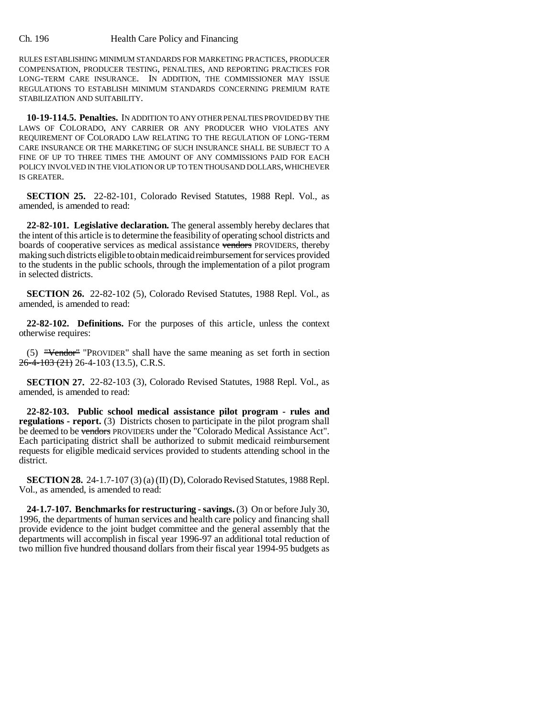RULES ESTABLISHING MINIMUM STANDARDS FOR MARKETING PRACTICES, PRODUCER COMPENSATION, PRODUCER TESTING, PENALTIES, AND REPORTING PRACTICES FOR LONG-TERM CARE INSURANCE. IN ADDITION, THE COMMISSIONER MAY ISSUE REGULATIONS TO ESTABLISH MINIMUM STANDARDS CONCERNING PREMIUM RATE STABILIZATION AND SUITABILITY.

**10-19-114.5. Penalties.** IN ADDITION TO ANY OTHER PENALTIES PROVIDED BY THE LAWS OF COLORADO, ANY CARRIER OR ANY PRODUCER WHO VIOLATES ANY REQUIREMENT OF COLORADO LAW RELATING TO THE REGULATION OF LONG-TERM CARE INSURANCE OR THE MARKETING OF SUCH INSURANCE SHALL BE SUBJECT TO A FINE OF UP TO THREE TIMES THE AMOUNT OF ANY COMMISSIONS PAID FOR EACH POLICY INVOLVED IN THE VIOLATION OR UP TO TEN THOUSAND DOLLARS, WHICHEVER IS GREATER.

**SECTION 25.** 22-82-101, Colorado Revised Statutes, 1988 Repl. Vol., as amended, is amended to read:

**22-82-101. Legislative declaration.** The general assembly hereby declares that the intent of this article is to determine the feasibility of operating school districts and boards of cooperative services as medical assistance vendors PROVIDERS, thereby making such districts eligible to obtain medicaid reimbursement for services provided to the students in the public schools, through the implementation of a pilot program in selected districts.

**SECTION 26.** 22-82-102 (5), Colorado Revised Statutes, 1988 Repl. Vol., as amended, is amended to read:

**22-82-102. Definitions.** For the purposes of this article, unless the context otherwise requires:

(5) "Vendor" "PROVIDER" shall have the same meaning as set forth in section 26-4-103 (21) 26-4-103 (13.5), C.R.S.

**SECTION 27.** 22-82-103 (3), Colorado Revised Statutes, 1988 Repl. Vol., as amended, is amended to read:

**22-82-103. Public school medical assistance pilot program - rules and regulations - report.** (3) Districts chosen to participate in the pilot program shall be deemed to be vendors PROVIDERS under the "Colorado Medical Assistance Act". Each participating district shall be authorized to submit medicaid reimbursement requests for eligible medicaid services provided to students attending school in the district.

**SECTION 28.** 24-1.7-107 (3) (a) (II) (D), Colorado Revised Statutes, 1988 Repl. Vol., as amended, is amended to read:

**24-1.7-107. Benchmarks for restructuring - savings.** (3) On or before July 30, 1996, the departments of human services and health care policy and financing shall provide evidence to the joint budget committee and the general assembly that the departments will accomplish in fiscal year 1996-97 an additional total reduction of two million five hundred thousand dollars from their fiscal year 1994-95 budgets as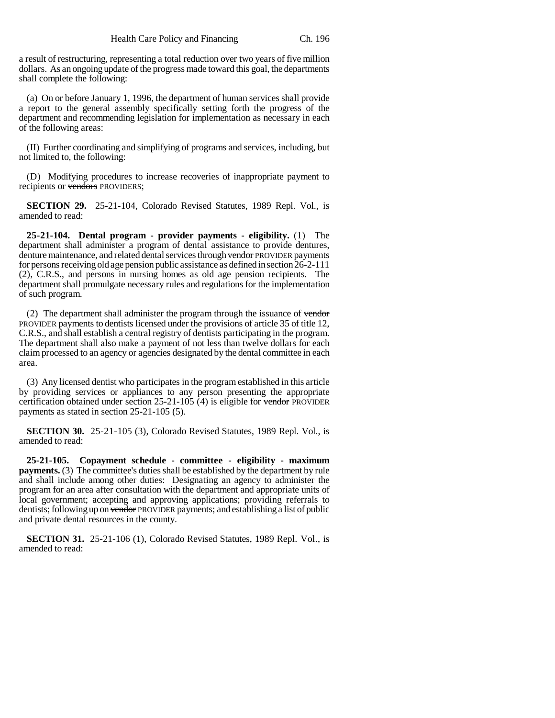a result of restructuring, representing a total reduction over two years of five million dollars. As an ongoing update of the progress made toward this goal, the departments shall complete the following:

(a) On or before January 1, 1996, the department of human services shall provide a report to the general assembly specifically setting forth the progress of the department and recommending legislation for implementation as necessary in each of the following areas:

(II) Further coordinating and simplifying of programs and services, including, but not limited to, the following:

(D) Modifying procedures to increase recoveries of inappropriate payment to recipients or vendors PROVIDERS;

**SECTION 29.** 25-21-104, Colorado Revised Statutes, 1989 Repl. Vol., is amended to read:

**25-21-104. Dental program - provider payments - eligibility.** (1) The department shall administer a program of dental assistance to provide dentures, denture maintenance, and related dental services through vendor PROVIDER payments for persons receiving old age pension public assistance as defined in section 26-2-111 (2), C.R.S., and persons in nursing homes as old age pension recipients. The department shall promulgate necessary rules and regulations for the implementation of such program.

(2) The department shall administer the program through the issuance of vendor PROVIDER payments to dentists licensed under the provisions of article 35 of title 12, C.R.S., and shall establish a central registry of dentists participating in the program. The department shall also make a payment of not less than twelve dollars for each claim processed to an agency or agencies designated by the dental committee in each area.

(3) Any licensed dentist who participates in the program established in this article by providing services or appliances to any person presenting the appropriate certification obtained under section  $25-21-105$  (4) is eligible for vendor PROVIDER payments as stated in section 25-21-105 (5).

**SECTION 30.** 25-21-105 (3), Colorado Revised Statutes, 1989 Repl. Vol., is amended to read:

**25-21-105. Copayment schedule - committee - eligibility - maximum payments.** (3) The committee's duties shall be established by the department by rule and shall include among other duties: Designating an agency to administer the program for an area after consultation with the department and appropriate units of local government; accepting and approving applications; providing referrals to dentists; following up on vendor PROVIDER payments; and establishing a list of public and private dental resources in the county.

**SECTION 31.** 25-21-106 (1), Colorado Revised Statutes, 1989 Repl. Vol., is amended to read: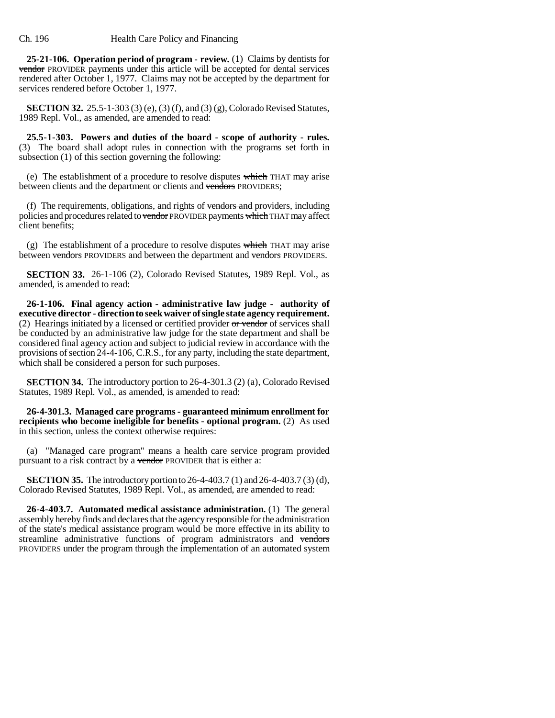**25-21-106. Operation period of program - review.** (1) Claims by dentists for vendor PROVIDER payments under this article will be accepted for dental services rendered after October 1, 1977. Claims may not be accepted by the department for services rendered before October 1, 1977.

**SECTION 32.** 25.5-1-303 (3) (e), (3) (f), and (3) (g), Colorado Revised Statutes, 1989 Repl. Vol., as amended, are amended to read:

**25.5-1-303. Powers and duties of the board - scope of authority - rules.** (3) The board shall adopt rules in connection with the programs set forth in subsection (1) of this section governing the following:

(e) The establishment of a procedure to resolve disputes which THAT may arise between clients and the department or clients and vendors PROVIDERS;

(f) The requirements, obligations, and rights of vendors and providers, including policies and procedures related to vendor PROVIDER payments which THAT may affect client benefits;

(g) The establishment of a procedure to resolve disputes which THAT may arise between vendors PROVIDERS and between the department and vendors PROVIDERS.

**SECTION 33.** 26-1-106 (2), Colorado Revised Statutes, 1989 Repl. Vol., as amended, is amended to read:

**26-1-106. Final agency action - administrative law judge - authority of executive director - direction to seek waiver of single state agency requirement.** (2) Hearings initiated by a licensed or certified provider or vendor of services shall be conducted by an administrative law judge for the state department and shall be considered final agency action and subject to judicial review in accordance with the provisions of section 24-4-106, C.R.S., for any party, including the state department, which shall be considered a person for such purposes.

**SECTION 34.** The introductory portion to 26-4-301.3 (2) (a), Colorado Revised Statutes, 1989 Repl. Vol., as amended, is amended to read:

**26-4-301.3. Managed care programs - guaranteed minimum enrollment for recipients who become ineligible for benefits - optional program.** (2) As used in this section, unless the context otherwise requires:

(a) "Managed care program" means a health care service program provided pursuant to a risk contract by a vendor PROVIDER that is either a:

**SECTION 35.** The introductory portion to 26-4-403.7 (1) and 26-4-403.7 (3) (d), Colorado Revised Statutes, 1989 Repl. Vol., as amended, are amended to read:

**26-4-403.7. Automated medical assistance administration.** (1) The general assembly hereby finds and declares that the agency responsible for the administration of the state's medical assistance program would be more effective in its ability to streamline administrative functions of program administrators and vendors PROVIDERS under the program through the implementation of an automated system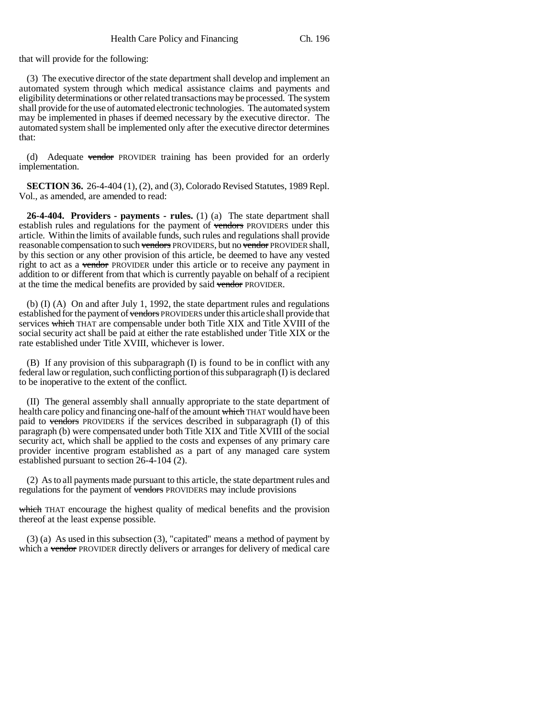that will provide for the following:

(3) The executive director of the state department shall develop and implement an automated system through which medical assistance claims and payments and eligibility determinations or other related transactions may be processed. The system shall provide for the use of automated electronic technologies. The automated system may be implemented in phases if deemed necessary by the executive director. The automated system shall be implemented only after the executive director determines that:

(d) Adequate vendor PROVIDER training has been provided for an orderly implementation.

**SECTION 36.** 26-4-404 (1), (2), and (3), Colorado Revised Statutes, 1989 Repl. Vol., as amended, are amended to read:

**26-4-404. Providers - payments - rules.** (1) (a) The state department shall establish rules and regulations for the payment of vendors PROVIDERS under this article. Within the limits of available funds, such rules and regulations shall provide reasonable compensation to such vendors PROVIDERS, but no vendor PROVIDER shall, by this section or any other provision of this article, be deemed to have any vested right to act as a vendor PROVIDER under this article or to receive any payment in addition to or different from that which is currently payable on behalf of a recipient at the time the medical benefits are provided by said vendor PROVIDER.

(b) (I) (A) On and after July 1, 1992, the state department rules and regulations established for the payment of vendors PROVIDERS under this article shall provide that services which THAT are compensable under both Title XIX and Title XVIII of the social security act shall be paid at either the rate established under Title XIX or the rate established under Title XVIII, whichever is lower.

(B) If any provision of this subparagraph (I) is found to be in conflict with any federal law or regulation, such conflicting portion of this subparagraph (I) is declared to be inoperative to the extent of the conflict.

(II) The general assembly shall annually appropriate to the state department of health care policy and financing one-half of the amount which THAT would have been paid to vendors PROVIDERS if the services described in subparagraph (I) of this paragraph (b) were compensated under both Title XIX and Title XVIII of the social security act, which shall be applied to the costs and expenses of any primary care provider incentive program established as a part of any managed care system established pursuant to section 26-4-104 (2).

(2) As to all payments made pursuant to this article, the state department rules and regulations for the payment of vendors PROVIDERS may include provisions

which THAT encourage the highest quality of medical benefits and the provision thereof at the least expense possible.

(3) (a) As used in this subsection (3), "capitated" means a method of payment by which a vendor PROVIDER directly delivers or arranges for delivery of medical care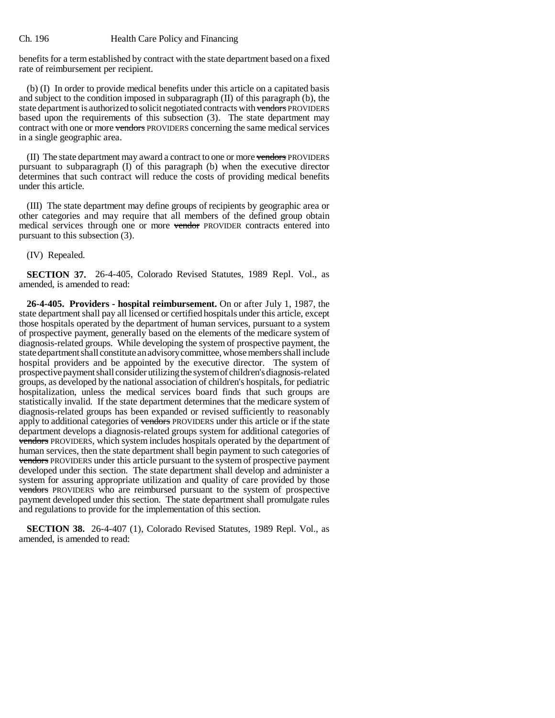benefits for a term established by contract with the state department based on a fixed rate of reimbursement per recipient.

(b) (I) In order to provide medical benefits under this article on a capitated basis and subject to the condition imposed in subparagraph (II) of this paragraph (b), the state department is authorized to solicit negotiated contracts with vendors PROVIDERS based upon the requirements of this subsection (3). The state department may contract with one or more vendors PROVIDERS concerning the same medical services in a single geographic area.

(II) The state department may award a contract to one or more vendors PROVIDERS pursuant to subparagraph (I) of this paragraph (b) when the executive director determines that such contract will reduce the costs of providing medical benefits under this article.

(III) The state department may define groups of recipients by geographic area or other categories and may require that all members of the defined group obtain medical services through one or more vendor PROVIDER contracts entered into pursuant to this subsection (3).

(IV) Repealed.

**SECTION 37.** 26-4-405, Colorado Revised Statutes, 1989 Repl. Vol., as amended, is amended to read:

**26-4-405. Providers - hospital reimbursement.** On or after July 1, 1987, the state department shall pay all licensed or certified hospitals under this article, except those hospitals operated by the department of human services, pursuant to a system of prospective payment, generally based on the elements of the medicare system of diagnosis-related groups. While developing the system of prospective payment, the state department shall constitute an advisory committee, whose members shall include hospital providers and be appointed by the executive director. The system of prospective payment shall consider utilizing the system of children's diagnosis-related groups, as developed by the national association of children's hospitals, for pediatric hospitalization, unless the medical services board finds that such groups are statistically invalid. If the state department determines that the medicare system of diagnosis-related groups has been expanded or revised sufficiently to reasonably apply to additional categories of vendors PROVIDERS under this article or if the state department develops a diagnosis-related groups system for additional categories of vendors PROVIDERS, which system includes hospitals operated by the department of human services, then the state department shall begin payment to such categories of vendors PROVIDERS under this article pursuant to the system of prospective payment developed under this section. The state department shall develop and administer a system for assuring appropriate utilization and quality of care provided by those vendors PROVIDERS who are reimbursed pursuant to the system of prospective payment developed under this section. The state department shall promulgate rules and regulations to provide for the implementation of this section.

**SECTION 38.** 26-4-407 (1), Colorado Revised Statutes, 1989 Repl. Vol., as amended, is amended to read: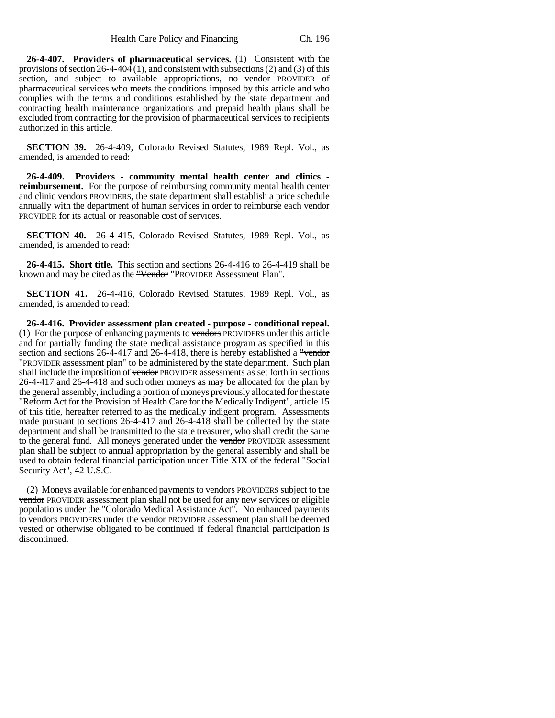**26-4-407. Providers of pharmaceutical services.** (1) Consistent with the provisions of section 26-4-404 (1), and consistent with subsections (2) and (3) of this section, and subject to available appropriations, no vendor PROVIDER of pharmaceutical services who meets the conditions imposed by this article and who complies with the terms and conditions established by the state department and contracting health maintenance organizations and prepaid health plans shall be excluded from contracting for the provision of pharmaceutical services to recipients authorized in this article.

**SECTION 39.** 26-4-409, Colorado Revised Statutes, 1989 Repl. Vol., as amended, is amended to read:

**26-4-409. Providers - community mental health center and clinics reimbursement.** For the purpose of reimbursing community mental health center and clinic vendors PROVIDERS, the state department shall establish a price schedule annually with the department of human services in order to reimburse each vendor PROVIDER for its actual or reasonable cost of services.

**SECTION 40.** 26-4-415, Colorado Revised Statutes, 1989 Repl. Vol., as amended, is amended to read:

**26-4-415. Short title.** This section and sections 26-4-416 to 26-4-419 shall be known and may be cited as the "Vendor "PROVIDER Assessment Plan".

**SECTION 41.** 26-4-416, Colorado Revised Statutes, 1989 Repl. Vol., as amended, is amended to read:

**26-4-416. Provider assessment plan created - purpose - conditional repeal.** (1) For the purpose of enhancing payments to vendors PROVIDERS under this article and for partially funding the state medical assistance program as specified in this section and sections 26-4-417 and 26-4-418, there is hereby established a "vendor" "PROVIDER assessment plan" to be administered by the state department. Such plan shall include the imposition of vendor PROVIDER assessments as set forth in sections 26-4-417 and 26-4-418 and such other moneys as may be allocated for the plan by the general assembly, including a portion of moneys previously allocated for the state "Reform Act for the Provision of Health Care for the Medically Indigent", article 15 of this title, hereafter referred to as the medically indigent program. Assessments made pursuant to sections 26-4-417 and 26-4-418 shall be collected by the state department and shall be transmitted to the state treasurer, who shall credit the same to the general fund. All moneys generated under the vendor PROVIDER assessment plan shall be subject to annual appropriation by the general assembly and shall be used to obtain federal financial participation under Title XIX of the federal "Social Security Act", 42 U.S.C.

(2) Moneys available for enhanced payments to vendors PROVIDERS subject to the vendor PROVIDER assessment plan shall not be used for any new services or eligible populations under the "Colorado Medical Assistance Act". No enhanced payments to vendors PROVIDERS under the vendor PROVIDER assessment plan shall be deemed vested or otherwise obligated to be continued if federal financial participation is discontinued.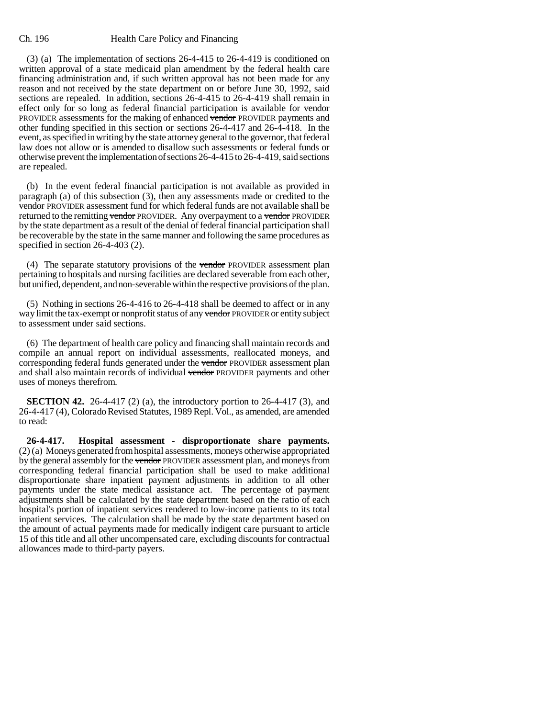(3) (a) The implementation of sections 26-4-415 to 26-4-419 is conditioned on written approval of a state medicaid plan amendment by the federal health care financing administration and, if such written approval has not been made for any reason and not received by the state department on or before June 30, 1992, said sections are repealed. In addition, sections 26-4-415 to 26-4-419 shall remain in effect only for so long as federal financial participation is available for vendor PROVIDER assessments for the making of enhanced vendor PROVIDER payments and other funding specified in this section or sections 26-4-417 and 26-4-418. In the event, as specified in writing by the state attorney general to the governor, that federal law does not allow or is amended to disallow such assessments or federal funds or otherwise prevent the implementation of sections 26-4-415 to 26-4-419, said sections are repealed.

(b) In the event federal financial participation is not available as provided in paragraph (a) of this subsection (3), then any assessments made or credited to the vendor PROVIDER assessment fund for which federal funds are not available shall be returned to the remitting vendor PROVIDER. Any overpayment to a vendor PROVIDER by the state department as a result of the denial of federal financial participation shall be recoverable by the state in the same manner and following the same procedures as specified in section 26-4-403 (2).

(4) The separate statutory provisions of the vendor PROVIDER assessment plan pertaining to hospitals and nursing facilities are declared severable from each other, but unified, dependent, and non-severable within the respective provisions of the plan.

(5) Nothing in sections 26-4-416 to 26-4-418 shall be deemed to affect or in any way limit the tax-exempt or nonprofit status of any vendor PROVIDER or entity subject to assessment under said sections.

(6) The department of health care policy and financing shall maintain records and compile an annual report on individual assessments, reallocated moneys, and corresponding federal funds generated under the vendor PROVIDER assessment plan and shall also maintain records of individual vendor PROVIDER payments and other uses of moneys therefrom.

**SECTION 42.** 26-4-417 (2) (a), the introductory portion to 26-4-417 (3), and 26-4-417 (4), Colorado Revised Statutes, 1989 Repl. Vol., as amended, are amended to read:

**26-4-417. Hospital assessment - disproportionate share payments.** (2) (a) Moneys generated from hospital assessments, moneys otherwise appropriated by the general assembly for the vendor PROVIDER assessment plan, and moneys from corresponding federal financial participation shall be used to make additional disproportionate share inpatient payment adjustments in addition to all other payments under the state medical assistance act. The percentage of payment adjustments shall be calculated by the state department based on the ratio of each hospital's portion of inpatient services rendered to low-income patients to its total inpatient services. The calculation shall be made by the state department based on the amount of actual payments made for medically indigent care pursuant to article 15 of this title and all other uncompensated care, excluding discounts for contractual allowances made to third-party payers.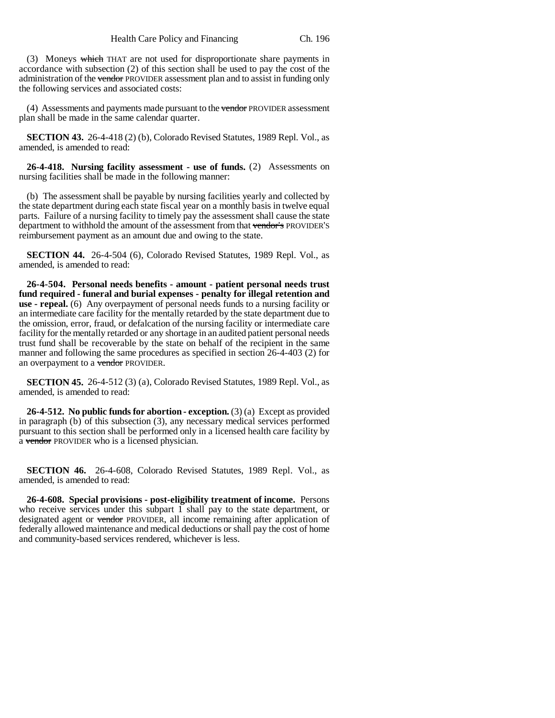(3) Moneys which THAT are not used for disproportionate share payments in accordance with subsection (2) of this section shall be used to pay the cost of the administration of the vendor PROVIDER assessment plan and to assist in funding only the following services and associated costs:

(4) Assessments and payments made pursuant to the vendor PROVIDER assessment plan shall be made in the same calendar quarter.

**SECTION 43.** 26-4-418 (2) (b), Colorado Revised Statutes, 1989 Repl. Vol., as amended, is amended to read:

**26-4-418. Nursing facility assessment - use of funds.** (2) Assessments on nursing facilities shall be made in the following manner:

(b) The assessment shall be payable by nursing facilities yearly and collected by the state department during each state fiscal year on a monthly basis in twelve equal parts. Failure of a nursing facility to timely pay the assessment shall cause the state department to withhold the amount of the assessment from that vendor's PROVIDER'S reimbursement payment as an amount due and owing to the state.

**SECTION 44.** 26-4-504 (6), Colorado Revised Statutes, 1989 Repl. Vol., as amended, is amended to read:

**26-4-504. Personal needs benefits - amount - patient personal needs trust fund required - funeral and burial expenses - penalty for illegal retention and use - repeal.** (6) Any overpayment of personal needs funds to a nursing facility or an intermediate care facility for the mentally retarded by the state department due to the omission, error, fraud, or defalcation of the nursing facility or intermediate care facility for the mentally retarded or any shortage in an audited patient personal needs trust fund shall be recoverable by the state on behalf of the recipient in the same manner and following the same procedures as specified in section 26-4-403 (2) for an overpayment to a vendor PROVIDER.

**SECTION 45.** 26-4-512 (3) (a), Colorado Revised Statutes, 1989 Repl. Vol., as amended, is amended to read:

**26-4-512. No public funds for abortion - exception.** (3) (a) Except as provided in paragraph (b) of this subsection (3), any necessary medical services performed pursuant to this section shall be performed only in a licensed health care facility by a vendor PROVIDER who is a licensed physician.

**SECTION 46.** 26-4-608, Colorado Revised Statutes, 1989 Repl. Vol., as amended, is amended to read:

**26-4-608. Special provisions - post-eligibility treatment of income.** Persons who receive services under this subpart 1 shall pay to the state department, or designated agent or vendor PROVIDER, all income remaining after application of federally allowed maintenance and medical deductions or shall pay the cost of home and community-based services rendered, whichever is less.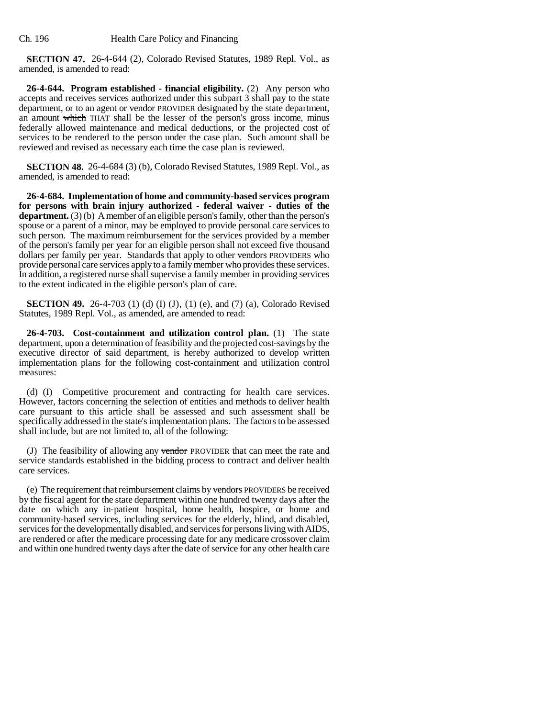**SECTION 47.** 26-4-644 (2), Colorado Revised Statutes, 1989 Repl. Vol., as amended, is amended to read:

**26-4-644. Program established - financial eligibility.** (2) Any person who accepts and receives services authorized under this subpart 3 shall pay to the state department, or to an agent or vendor PROVIDER designated by the state department, an amount which THAT shall be the lesser of the person's gross income, minus federally allowed maintenance and medical deductions, or the projected cost of services to be rendered to the person under the case plan. Such amount shall be reviewed and revised as necessary each time the case plan is reviewed.

**SECTION 48.** 26-4-684 (3) (b), Colorado Revised Statutes, 1989 Repl. Vol., as amended, is amended to read:

**26-4-684. Implementation of home and community-based services program for persons with brain injury authorized - federal waiver - duties of the department.** (3) (b) A member of an eligible person's family, other than the person's spouse or a parent of a minor, may be employed to provide personal care services to such person. The maximum reimbursement for the services provided by a member of the person's family per year for an eligible person shall not exceed five thousand dollars per family per year. Standards that apply to other vendors PROVIDERS who provide personal care services apply to a family member who provides these services. In addition, a registered nurse shall supervise a family member in providing services to the extent indicated in the eligible person's plan of care.

**SECTION 49.** 26-4-703 (1) (d) (I) (J), (1) (e), and (7) (a), Colorado Revised Statutes, 1989 Repl. Vol., as amended, are amended to read:

**26-4-703. Cost-containment and utilization control plan.** (1) The state department, upon a determination of feasibility and the projected cost-savings by the executive director of said department, is hereby authorized to develop written implementation plans for the following cost-containment and utilization control measures:

(d) (I) Competitive procurement and contracting for health care services. However, factors concerning the selection of entities and methods to deliver health care pursuant to this article shall be assessed and such assessment shall be specifically addressed in the state's implementation plans. The factors to be assessed shall include, but are not limited to, all of the following:

(J) The feasibility of allowing any vendor PROVIDER that can meet the rate and service standards established in the bidding process to contract and deliver health care services.

(e) The requirement that reimbursement claims by vendors PROVIDERS be received by the fiscal agent for the state department within one hundred twenty days after the date on which any in-patient hospital, home health, hospice, or home and community-based services, including services for the elderly, blind, and disabled, services for the developmentally disabled, and services for persons living with AIDS, are rendered or after the medicare processing date for any medicare crossover claim and within one hundred twenty days after the date of service for any other health care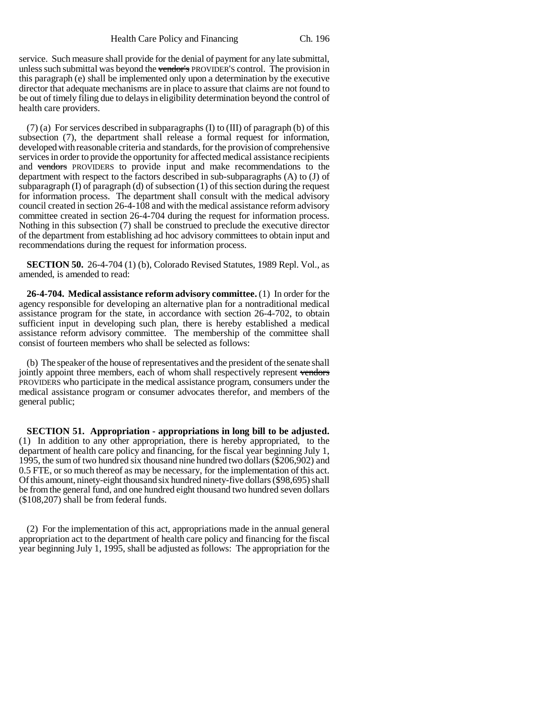service. Such measure shall provide for the denial of payment for any late submittal, unless such submittal was beyond the vendor's PROVIDER'S control. The provision in this paragraph (e) shall be implemented only upon a determination by the executive director that adequate mechanisms are in place to assure that claims are not found to be out of timely filing due to delays in eligibility determination beyond the control of health care providers.

(7) (a) For services described in subparagraphs (I) to (III) of paragraph (b) of this subsection (7), the department shall release a formal request for information, developed with reasonable criteria and standards, for the provision of comprehensive services in order to provide the opportunity for affected medical assistance recipients and vendors PROVIDERS to provide input and make recommendations to the department with respect to the factors described in sub-subparagraphs (A) to (J) of subparagraph  $(I)$  of paragraph  $(d)$  of subsection  $(1)$  of this section during the request for information process. The department shall consult with the medical advisory council created in section 26-4-108 and with the medical assistance reform advisory committee created in section 26-4-704 during the request for information process. Nothing in this subsection (7) shall be construed to preclude the executive director of the department from establishing ad hoc advisory committees to obtain input and recommendations during the request for information process.

**SECTION 50.** 26-4-704 (1) (b), Colorado Revised Statutes, 1989 Repl. Vol., as amended, is amended to read:

**26-4-704. Medical assistance reform advisory committee.** (1) In order for the agency responsible for developing an alternative plan for a nontraditional medical assistance program for the state, in accordance with section 26-4-702, to obtain sufficient input in developing such plan, there is hereby established a medical assistance reform advisory committee. The membership of the committee shall consist of fourteen members who shall be selected as follows:

(b) The speaker of the house of representatives and the president of the senate shall jointly appoint three members, each of whom shall respectively represent vendors PROVIDERS who participate in the medical assistance program, consumers under the medical assistance program or consumer advocates therefor, and members of the general public;

**SECTION 51. Appropriation - appropriations in long bill to be adjusted.** (1) In addition to any other appropriation, there is hereby appropriated, to the department of health care policy and financing, for the fiscal year beginning July 1, 1995, the sum of two hundred six thousand nine hundred two dollars (\$206,902) and 0.5 FTE, or so much thereof as may be necessary, for the implementation of this act. Of this amount, ninety-eight thousand six hundred ninety-five dollars (\$98,695) shall be from the general fund, and one hundred eight thousand two hundred seven dollars (\$108,207) shall be from federal funds.

(2) For the implementation of this act, appropriations made in the annual general appropriation act to the department of health care policy and financing for the fiscal year beginning July 1, 1995, shall be adjusted as follows: The appropriation for the